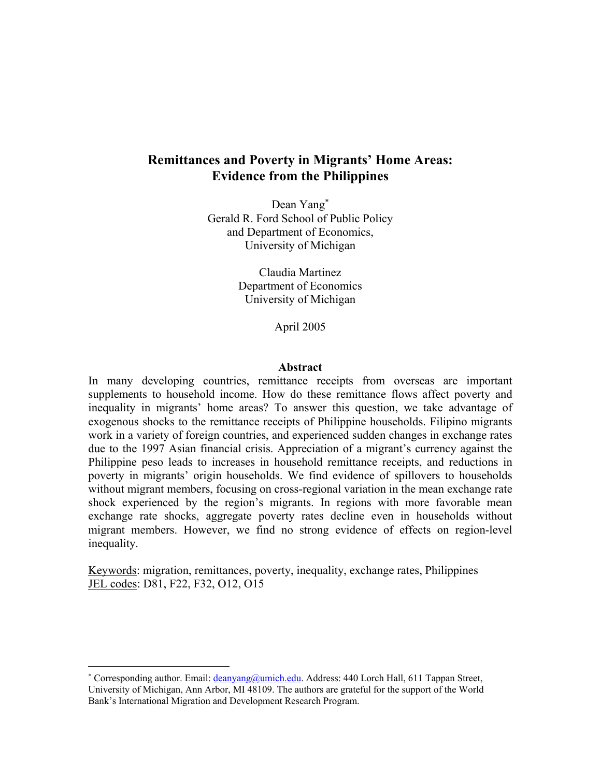# **Remittances and Poverty in Migrants' Home Areas: Evidence from the Philippines**

Dean Yang<sup>∗</sup> Gerald R. Ford School of Public Policy and Department of Economics, University of Michigan

> Claudia Martinez Department of Economics University of Michigan

> > April 2005

## **Abstract**

In many developing countries, remittance receipts from overseas are important supplements to household income. How do these remittance flows affect poverty and inequality in migrants' home areas? To answer this question, we take advantage of exogenous shocks to the remittance receipts of Philippine households. Filipino migrants work in a variety of foreign countries, and experienced sudden changes in exchange rates due to the 1997 Asian financial crisis. Appreciation of a migrant's currency against the Philippine peso leads to increases in household remittance receipts, and reductions in poverty in migrants' origin households. We find evidence of spillovers to households without migrant members, focusing on cross-regional variation in the mean exchange rate shock experienced by the region's migrants. In regions with more favorable mean exchange rate shocks, aggregate poverty rates decline even in households without migrant members. However, we find no strong evidence of effects on region-level inequality.

Keywords: migration, remittances, poverty, inequality, exchange rates, Philippines JEL codes: D81, F22, F32, O12, O15

 $\overline{a}$ 

<sup>\*</sup> Corresponding author. Email: *deanyang@umich.edu.* Address: 440 Lorch Hall, 611 Tappan Street, University of Michigan, Ann Arbor, MI 48109. The authors are grateful for the support of the World Bank's International Migration and Development Research Program.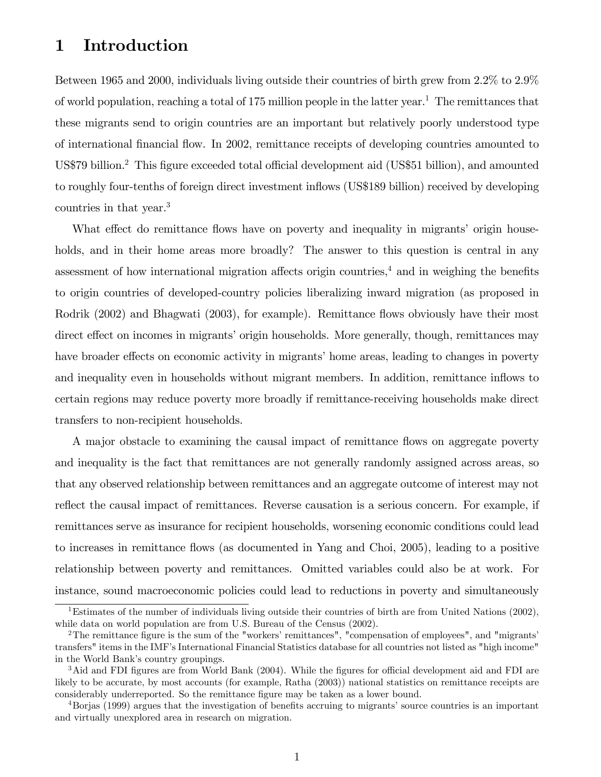# 1 Introduction

Between 1965 and 2000, individuals living outside their countries of birth grew from 2.2% to 2.9% of world population, reaching a total of 175 million people in the latter year.<sup>1</sup> The remittances that these migrants send to origin countries are an important but relatively poorly understood type of international Önancial áow. In 2002, remittance receipts of developing countries amounted to US\$79 billion.<sup>2</sup> This figure exceeded total official development aid (US\$51 billion), and amounted to roughly four-tenths of foreign direct investment inflows (US\$189 billion) received by developing countries in that year.<sup>3</sup>

What effect do remittance flows have on poverty and inequality in migrants' origin households, and in their home areas more broadly? The answer to this question is central in any assessment of how international migration affects origin countries, $4$  and in weighing the benefits to origin countries of developed-country policies liberalizing inward migration (as proposed in Rodrik (2002) and Bhagwati (2003), for example). Remittance flows obviously have their most direct effect on incomes in migrants' origin households. More generally, though, remittances may have broader effects on economic activity in migrants' home areas, leading to changes in poverty and inequality even in households without migrant members. In addition, remittance inflows to certain regions may reduce poverty more broadly if remittance-receiving households make direct transfers to non-recipient households.

A major obstacle to examining the causal impact of remittance flows on aggregate poverty and inequality is the fact that remittances are not generally randomly assigned across areas, so that any observed relationship between remittances and an aggregate outcome of interest may not reflect the causal impact of remittances. Reverse causation is a serious concern. For example, if remittances serve as insurance for recipient households, worsening economic conditions could lead to increases in remittance flows (as documented in Yang and Choi, 2005), leading to a positive relationship between poverty and remittances. Omitted variables could also be at work. For instance, sound macroeconomic policies could lead to reductions in poverty and simultaneously

<sup>&</sup>lt;sup>1</sup>Estimates of the number of individuals living outside their countries of birth are from United Nations (2002), while data on world population are from U.S. Bureau of the Census (2002).

<sup>&</sup>lt;sup>2</sup>The remittance figure is the sum of the "workers' remittances", "compensation of employees", and "migrants' transfers" items in the IMFís International Financial Statistics database for all countries not listed as "high income" in the World Bank's country groupings.

 $3$ Aid and FDI figures are from World Bank (2004). While the figures for official development aid and FDI are likely to be accurate, by most accounts (for example, Ratha (2003)) national statistics on remittance receipts are considerably underreported. So the remittance figure may be taken as a lower bound.

<sup>&</sup>lt;sup>4</sup>Borjas (1999) argues that the investigation of benefits accruing to migrants' source countries is an important and virtually unexplored area in research on migration.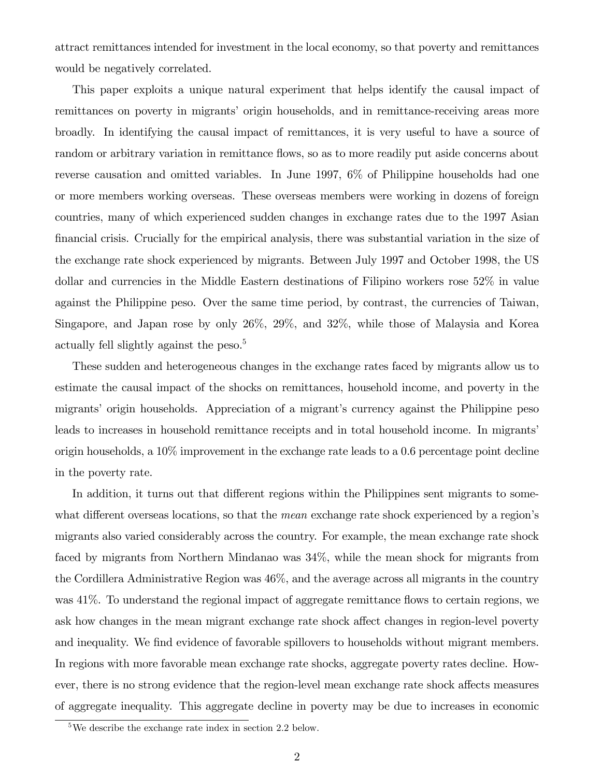attract remittances intended for investment in the local economy, so that poverty and remittances would be negatively correlated.

This paper exploits a unique natural experiment that helps identify the causal impact of remittances on poverty in migrants' origin households, and in remittance-receiving areas more broadly. In identifying the causal impact of remittances, it is very useful to have a source of random or arbitrary variation in remittance flows, so as to more readily put aside concerns about reverse causation and omitted variables. In June 1997, 6% of Philippine households had one or more members working overseas. These overseas members were working in dozens of foreign countries, many of which experienced sudden changes in exchange rates due to the 1997 Asian Önancial crisis. Crucially for the empirical analysis, there was substantial variation in the size of the exchange rate shock experienced by migrants. Between July 1997 and October 1998, the US dollar and currencies in the Middle Eastern destinations of Filipino workers rose 52% in value against the Philippine peso. Over the same time period, by contrast, the currencies of Taiwan, Singapore, and Japan rose by only 26%, 29%, and 32%, while those of Malaysia and Korea actually fell slightly against the peso.<sup>5</sup>

These sudden and heterogeneous changes in the exchange rates faced by migrants allow us to estimate the causal impact of the shocks on remittances, household income, and poverty in the migrants' origin households. Appreciation of a migrant's currency against the Philippine peso leads to increases in household remittance receipts and in total household income. In migrants' origin households, a 10% improvement in the exchange rate leads to a 0.6 percentage point decline in the poverty rate.

In addition, it turns out that different regions within the Philippines sent migrants to somewhat different overseas locations, so that the *mean* exchange rate shock experienced by a region's migrants also varied considerably across the country. For example, the mean exchange rate shock faced by migrants from Northern Mindanao was 34%, while the mean shock for migrants from the Cordillera Administrative Region was 46%, and the average across all migrants in the country was  $41\%$ . To understand the regional impact of aggregate remittance flows to certain regions, we ask how changes in the mean migrant exchange rate shock affect changes in region-level poverty and inequality. We find evidence of favorable spillovers to households without migrant members. In regions with more favorable mean exchange rate shocks, aggregate poverty rates decline. However, there is no strong evidence that the region-level mean exchange rate shock affects measures of aggregate inequality. This aggregate decline in poverty may be due to increases in economic

<sup>5</sup>We describe the exchange rate index in section 2.2 below.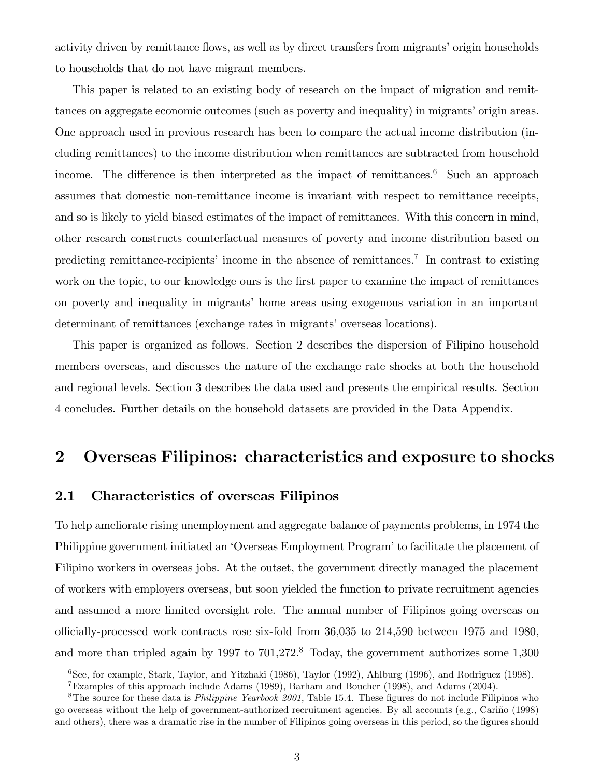activity driven by remittance flows, as well as by direct transfers from migrants' origin households to households that do not have migrant members.

This paper is related to an existing body of research on the impact of migration and remittances on aggregate economic outcomes (such as poverty and inequality) in migrants' origin areas. One approach used in previous research has been to compare the actual income distribution (including remittances) to the income distribution when remittances are subtracted from household income. The difference is then interpreted as the impact of remittances.<sup>6</sup> Such an approach assumes that domestic non-remittance income is invariant with respect to remittance receipts, and so is likely to yield biased estimates of the impact of remittances. With this concern in mind, other research constructs counterfactual measures of poverty and income distribution based on predicting remittance-recipients' income in the absence of remittances.<sup>7</sup> In contrast to existing work on the topic, to our knowledge ours is the first paper to examine the impact of remittances on poverty and inequality in migrantsí home areas using exogenous variation in an important determinant of remittances (exchange rates in migrants' overseas locations).

This paper is organized as follows. Section 2 describes the dispersion of Filipino household members overseas, and discusses the nature of the exchange rate shocks at both the household and regional levels. Section 3 describes the data used and presents the empirical results. Section 4 concludes. Further details on the household datasets are provided in the Data Appendix.

# 2 Overseas Filipinos: characteristics and exposure to shocks

# 2.1 Characteristics of overseas Filipinos

To help ameliorate rising unemployment and aggregate balance of payments problems, in 1974 the Philippine government initiated an 'Overseas Employment Program' to facilitate the placement of Filipino workers in overseas jobs. At the outset, the government directly managed the placement of workers with employers overseas, but soon yielded the function to private recruitment agencies and assumed a more limited oversight role. The annual number of Filipinos going overseas on o¢ cially-processed work contracts rose six-fold from 36,035 to 214,590 between 1975 and 1980, and more than tripled again by 1997 to 701,272.<sup>8</sup> Today, the government authorizes some 1,300

<sup>6</sup>See, for example, Stark, Taylor, and Yitzhaki (1986), Taylor (1992), Ahlburg (1996), and Rodriguez (1998).

<sup>7</sup>Examples of this approach include Adams (1989), Barham and Boucher (1998), and Adams (2004).

<sup>&</sup>lt;sup>8</sup>The source for these data is *Philippine Yearbook 2001*, Table 15.4. These figures do not include Filipinos who go overseas without the help of government-authorized recruitment agencies. By all accounts (e.g., Cariño (1998) and others), there was a dramatic rise in the number of Filipinos going overseas in this period, so the figures should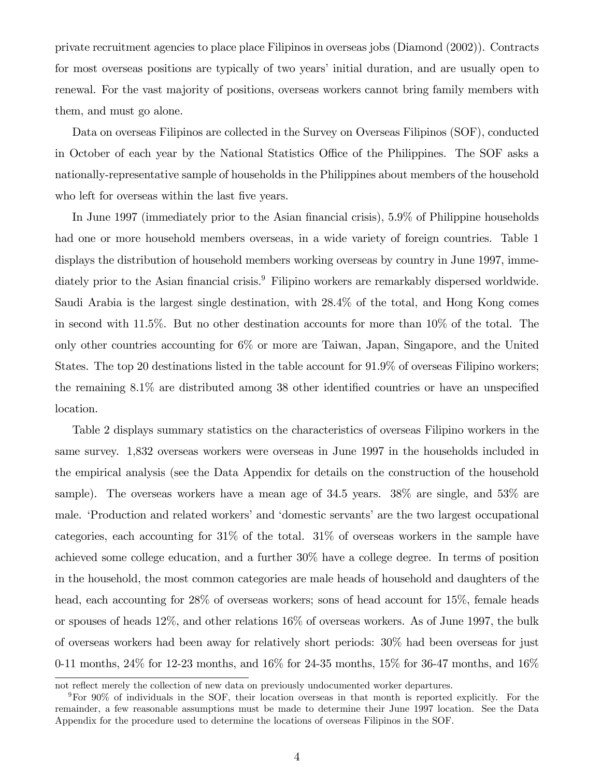private recruitment agencies to place place Filipinos in overseas jobs (Diamond (2002)). Contracts for most overseas positions are typically of two years' initial duration, and are usually open to renewal. For the vast majority of positions, overseas workers cannot bring family members with them, and must go alone.

Data on overseas Filipinos are collected in the Survey on Overseas Filipinos (SOF), conducted in October of each year by the National Statistics Office of the Philippines. The SOF asks a nationally-representative sample of households in the Philippines about members of the household who left for overseas within the last five years.

In June 1997 (immediately prior to the Asian financial crisis), 5.9% of Philippine households had one or more household members overseas, in a wide variety of foreign countries. Table 1 displays the distribution of household members working overseas by country in June 1997, immediately prior to the Asian financial crisis.<sup>9</sup> Filipino workers are remarkably dispersed worldwide. Saudi Arabia is the largest single destination, with 28.4% of the total, and Hong Kong comes in second with 11.5%. But no other destination accounts for more than 10% of the total. The only other countries accounting for 6% or more are Taiwan, Japan, Singapore, and the United States. The top 20 destinations listed in the table account for 91.9% of overseas Filipino workers; the remaining  $8.1\%$  are distributed among 38 other identified countries or have an unspecified location.

Table 2 displays summary statistics on the characteristics of overseas Filipino workers in the same survey. 1,832 overseas workers were overseas in June 1997 in the households included in the empirical analysis (see the Data Appendix for details on the construction of the household sample). The overseas workers have a mean age of 34.5 years. 38% are single, and 53% are male. EProduction and related workers' and 'domestic servants' are the two largest occupational categories, each accounting for 31% of the total. 31% of overseas workers in the sample have achieved some college education, and a further 30% have a college degree. In terms of position in the household, the most common categories are male heads of household and daughters of the head, each accounting for 28% of overseas workers; sons of head account for 15%, female heads or spouses of heads 12%, and other relations 16% of overseas workers. As of June 1997, the bulk of overseas workers had been away for relatively short periods: 30% had been overseas for just 0-11 months, 24% for 12-23 months, and 16% for 24-35 months, 15% for 36-47 months, and 16%

not reflect merely the collection of new data on previously undocumented worker departures.

<sup>9</sup>For 90% of individuals in the SOF, their location overseas in that month is reported explicitly. For the remainder, a few reasonable assumptions must be made to determine their June 1997 location. See the Data Appendix for the procedure used to determine the locations of overseas Filipinos in the SOF.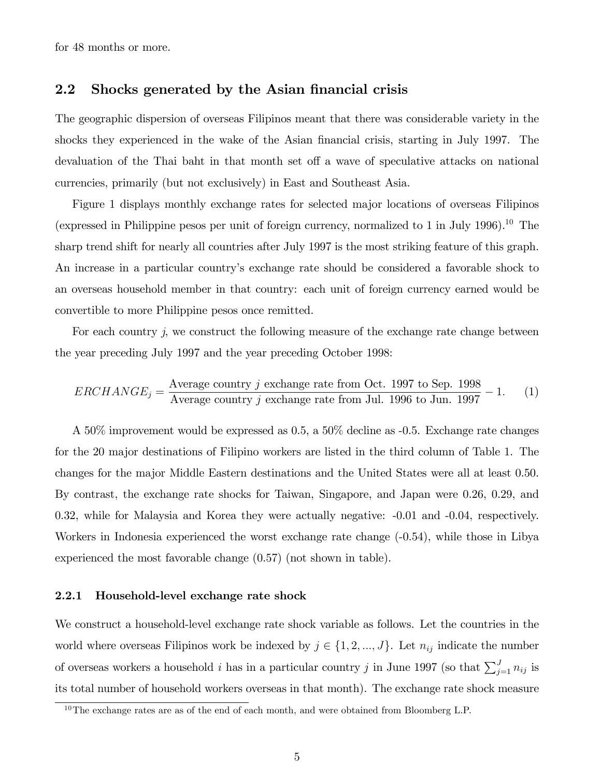for 48 months or more.

## 2.2 Shocks generated by the Asian financial crisis

The geographic dispersion of overseas Filipinos meant that there was considerable variety in the shocks they experienced in the wake of the Asian financial crisis, starting in July 1997. The devaluation of the Thai baht in that month set off a wave of speculative attacks on national currencies, primarily (but not exclusively) in East and Southeast Asia.

Figure 1 displays monthly exchange rates for selected major locations of overseas Filipinos (expressed in Philippine pesos per unit of foreign currency, normalized to 1 in July 1996).<sup>10</sup> The sharp trend shift for nearly all countries after July 1997 is the most striking feature of this graph. An increase in a particular countryís exchange rate should be considered a favorable shock to an overseas household member in that country: each unit of foreign currency earned would be convertible to more Philippine pesos once remitted.

For each country  $j$ , we construct the following measure of the exchange rate change between the year preceding July 1997 and the year preceding October 1998:

$$
ERCHANGE_j = \frac{\text{Average country } j \text{ exchange rate from Oct. 1997 to Sep. 1998}}{\text{Average country } j \text{ exchange rate from Jul. 1996 to Jun. 1997}} - 1. \tag{1}
$$

A 50% improvement would be expressed as 0.5, a 50% decline as -0.5. Exchange rate changes for the 20 major destinations of Filipino workers are listed in the third column of Table 1. The changes for the major Middle Eastern destinations and the United States were all at least 0.50. By contrast, the exchange rate shocks for Taiwan, Singapore, and Japan were 0.26, 0.29, and 0.32, while for Malaysia and Korea they were actually negative: -0.01 and -0.04, respectively. Workers in Indonesia experienced the worst exchange rate change (-0.54), while those in Libya experienced the most favorable change (0.57) (not shown in table).

### 2.2.1 Household-level exchange rate shock

We construct a household-level exchange rate shock variable as follows. Let the countries in the world where overseas Filipinos work be indexed by  $j \in \{1, 2, ..., J\}$ . Let  $n_{ij}$  indicate the number of overseas workers a household i has in a particular country j in June 1997 (so that  $\sum_{j=1}^{J} n_{ij}$  is its total number of household workers overseas in that month). The exchange rate shock measure

<sup>&</sup>lt;sup>10</sup>The exchange rates are as of the end of each month, and were obtained from Bloomberg L.P.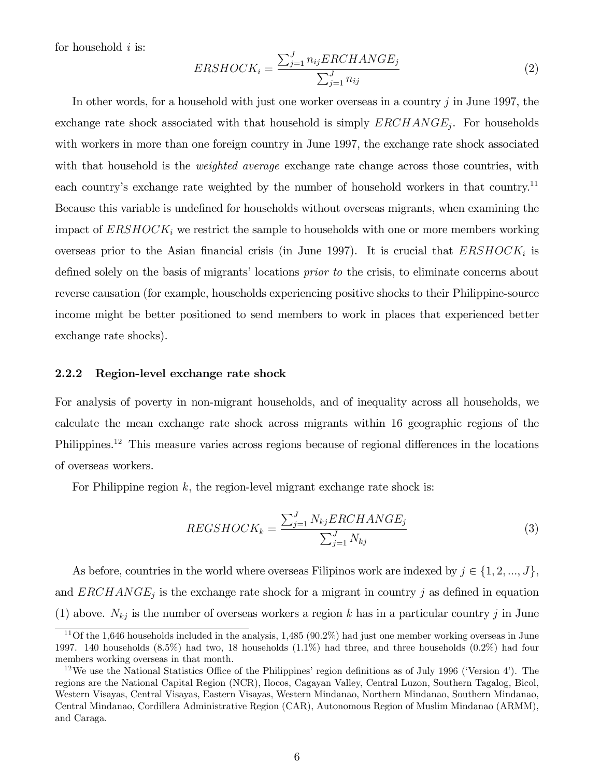for household  $i$  is:

$$
ERSHOCK_i = \frac{\sum_{j=1}^{J} n_{ij}ERCHANCE_j}{\sum_{j=1}^{J} n_{ij}}
$$
\n
$$
(2)
$$

In other words, for a household with just one worker overseas in a country j in June 1997, the exchange rate shock associated with that household is simply  $ERCHANGE_j$ . For households with workers in more than one foreign country in June 1997, the exchange rate shock associated with that household is the *weighted average* exchange rate change across those countries, with each country's exchange rate weighted by the number of household workers in that country.<sup>11</sup> Because this variable is undefined for households without overseas migrants, when examining the impact of  $ERSHOCK<sub>i</sub>$  we restrict the sample to households with one or more members working overseas prior to the Asian financial crisis (in June 1997). It is crucial that  $ERSHOCK<sub>i</sub>$  is defined solely on the basis of migrants' locations *prior to* the crisis, to eliminate concerns about reverse causation (for example, households experiencing positive shocks to their Philippine-source income might be better positioned to send members to work in places that experienced better exchange rate shocks).

### 2.2.2 Region-level exchange rate shock

For analysis of poverty in non-migrant households, and of inequality across all households, we calculate the mean exchange rate shock across migrants within 16 geographic regions of the Philippines.<sup>12</sup> This measure varies across regions because of regional differences in the locations of overseas workers.

For Philippine region  $k$ , the region-level migrant exchange rate shock is:

$$
REGSHOCK_k = \frac{\sum_{j=1}^{J} N_{kj}ERCHANGE_j}{\sum_{j=1}^{J} N_{kj}}
$$
\n(3)

As before, countries in the world where overseas Filipinos work are indexed by  $j \in \{1, 2, ..., J\}$ , and  $ERCHANGE_j$  is the exchange rate shock for a migrant in country j as defined in equation (1) above.  $N_{kj}$  is the number of overseas workers a region k has in a particular country j in June

<sup>&</sup>lt;sup>11</sup>Of the 1,646 households included in the analysis,  $1,485$  (90.2%) had just one member working overseas in June 1997. 140 households (8.5%) had two, 18 households (1.1%) had three, and three households (0.2%) had four members working overseas in that month.

<sup>&</sup>lt;sup>12</sup>We use the National Statistics Office of the Philippines' region definitions as of July 1996 ('Version 4'). The regions are the National Capital Region (NCR), Ilocos, Cagayan Valley, Central Luzon, Southern Tagalog, Bicol, Western Visayas, Central Visayas, Eastern Visayas, Western Mindanao, Northern Mindanao, Southern Mindanao, Central Mindanao, Cordillera Administrative Region (CAR), Autonomous Region of Muslim Mindanao (ARMM), and Caraga.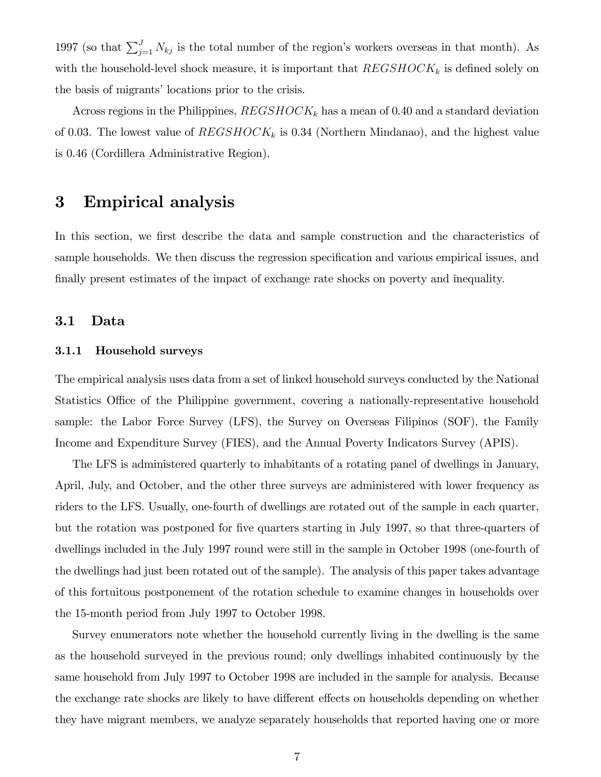1997 (so that  $\sum_{j=1}^{J} N_{kj}$  is the total number of the region's workers overseas in that month). As with the household-level shock measure, it is important that  $REGSHOCK_k$  is defined solely on the basis of migrants' locations prior to the crisis.

Across regions in the Philippines,  $REGSHOCK_k$  has a mean of 0.40 and a standard deviation of 0.03. The lowest value of  $REGSHOCK_k$  is 0.34 (Northern Mindanao), and the highest value is 0.46 (Cordillera Administrative Region).

# 3 Empirical analysis

In this section, we first describe the data and sample construction and the characteristics of sample households. We then discuss the regression specification and various empirical issues, and finally present estimates of the impact of exchange rate shocks on poverty and inequality.

## 3.1 Data

## 3.1.1 Household surveys

The empirical analysis uses data from a set of linked household surveys conducted by the National Statistics Office of the Philippine government, covering a nationally-representative household sample: the Labor Force Survey (LFS), the Survey on Overseas Filipinos (SOF), the Family Income and Expenditure Survey (FIES), and the Annual Poverty Indicators Survey (APIS).

The LFS is administered quarterly to inhabitants of a rotating panel of dwellings in January, April, July, and October, and the other three surveys are administered with lower frequency as riders to the LFS. Usually, one-fourth of dwellings are rotated out of the sample in each quarter, but the rotation was postponed for Öve quarters starting in July 1997, so that three-quarters of dwellings included in the July 1997 round were still in the sample in October 1998 (one-fourth of the dwellings had just been rotated out of the sample). The analysis of this paper takes advantage of this fortuitous postponement of the rotation schedule to examine changes in households over the 15-month period from July 1997 to October 1998.

Survey enumerators note whether the household currently living in the dwelling is the same as the household surveyed in the previous round; only dwellings inhabited continuously by the same household from July 1997 to October 1998 are included in the sample for analysis. Because the exchange rate shocks are likely to have different effects on households depending on whether they have migrant members, we analyze separately households that reported having one or more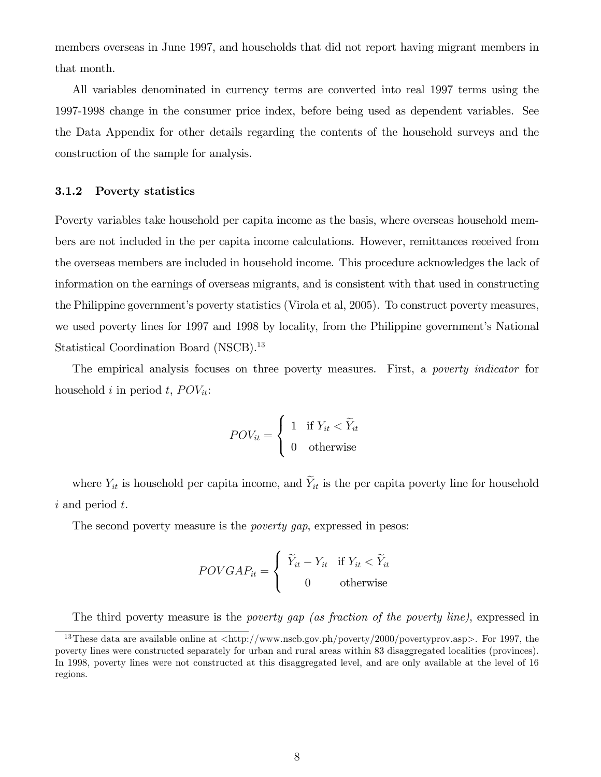members overseas in June 1997, and households that did not report having migrant members in that month.

All variables denominated in currency terms are converted into real 1997 terms using the 1997-1998 change in the consumer price index, before being used as dependent variables. See the Data Appendix for other details regarding the contents of the household surveys and the construction of the sample for analysis.

### 3.1.2 Poverty statistics

Poverty variables take household per capita income as the basis, where overseas household members are not included in the per capita income calculations. However, remittances received from the overseas members are included in household income. This procedure acknowledges the lack of information on the earnings of overseas migrants, and is consistent with that used in constructing the Philippine governmentís poverty statistics (Virola et al, 2005). To construct poverty measures, we used poverty lines for 1997 and 1998 by locality, from the Philippine government's National Statistical Coordination Board (NSCB).<sup>13</sup>

The empirical analysis focuses on three poverty measures. First, a poverty indicator for household i in period t,  $POV_{it}$ :

$$
POV_{it} = \begin{cases} 1 & \text{if } Y_{it} < \widetilde{Y}_{it} \\ 0 & \text{otherwise} \end{cases}
$$

where  $Y_{it}$  is household per capita income, and  $\widetilde{Y}_{it}$  is the per capita poverty line for household i and period t.

The second poverty measure is the *poverty qap*, expressed in pesos:

$$
POVGAP_{it} = \begin{cases} \tilde{Y}_{it} - Y_{it} & \text{if } Y_{it} < \tilde{Y}_{it} \\ 0 & \text{otherwise} \end{cases}
$$

The third poverty measure is the *poverty gap (as fraction of the poverty line)*, expressed in

<sup>&</sup>lt;sup>13</sup>These data are available online at  $\langle \text{http://www.nscb.gov.ph/poverty/2000/povertyprov-asp}\rangle$ . For 1997, the poverty lines were constructed separately for urban and rural areas within 83 disaggregated localities (provinces). In 1998, poverty lines were not constructed at this disaggregated level, and are only available at the level of 16 regions.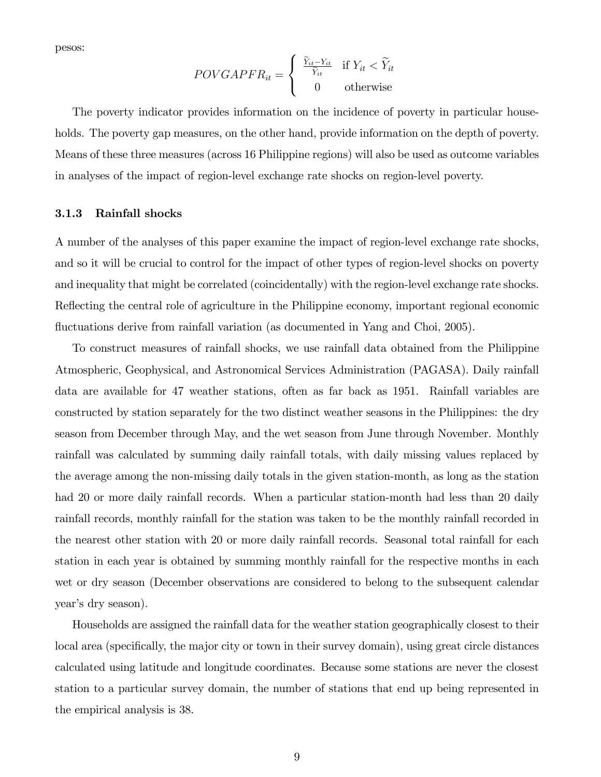pesos:

$$
POVGAPFR_{it} = \begin{cases} \frac{\widetilde{Y}_{it} - Y_{it}}{\widetilde{Y}_{it}} & \text{if } Y_{it} < \widetilde{Y}_{it} \\ 0 & \text{otherwise} \end{cases}
$$

The poverty indicator provides information on the incidence of poverty in particular households. The poverty gap measures, on the other hand, provide information on the depth of poverty. Means of these three measures (across 16 Philippine regions) will also be used as outcome variables in analyses of the impact of region-level exchange rate shocks on region-level poverty.

## 3.1.3 Rainfall shocks

A number of the analyses of this paper examine the impact of region-level exchange rate shocks, and so it will be crucial to control for the impact of other types of region-level shocks on poverty and inequality that might be correlated (coincidentally) with the region-level exchange rate shocks. Reflecting the central role of agriculture in the Philippine economy, important regional economic fluctuations derive from rainfall variation (as documented in Yang and Choi, 2005).

To construct measures of rainfall shocks, we use rainfall data obtained from the Philippine Atmospheric, Geophysical, and Astronomical Services Administration (PAGASA). Daily rainfall data are available for 47 weather stations, often as far back as 1951. Rainfall variables are constructed by station separately for the two distinct weather seasons in the Philippines: the dry season from December through May, and the wet season from June through November. Monthly rainfall was calculated by summing daily rainfall totals, with daily missing values replaced by the average among the non-missing daily totals in the given station-month, as long as the station had 20 or more daily rainfall records. When a particular station-month had less than 20 daily rainfall records, monthly rainfall for the station was taken to be the monthly rainfall recorded in the nearest other station with 20 or more daily rainfall records. Seasonal total rainfall for each station in each year is obtained by summing monthly rainfall for the respective months in each wet or dry season (December observations are considered to belong to the subsequent calendar year's dry season).

Households are assigned the rainfall data for the weather station geographically closest to their local area (specifically, the major city or town in their survey domain), using great circle distances calculated using latitude and longitude coordinates. Because some stations are never the closest station to a particular survey domain, the number of stations that end up being represented in the empirical analysis is 38.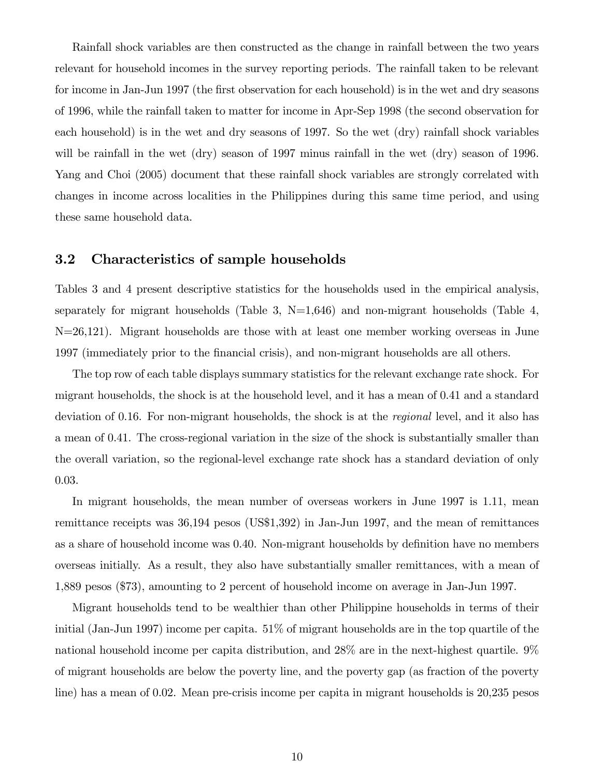Rainfall shock variables are then constructed as the change in rainfall between the two years relevant for household incomes in the survey reporting periods. The rainfall taken to be relevant for income in Jan-Jun 1997 (the first observation for each household) is in the wet and dry seasons of 1996, while the rainfall taken to matter for income in Apr-Sep 1998 (the second observation for each household) is in the wet and dry seasons of 1997. So the wet (dry) rainfall shock variables will be rainfall in the wet (dry) season of 1997 minus rainfall in the wet (dry) season of 1996. Yang and Choi (2005) document that these rainfall shock variables are strongly correlated with changes in income across localities in the Philippines during this same time period, and using these same household data.

## 3.2 Characteristics of sample households

Tables 3 and 4 present descriptive statistics for the households used in the empirical analysis, separately for migrant households (Table 3,  $N=1,646$ ) and non-migrant households (Table 4, N=26,121). Migrant households are those with at least one member working overseas in June 1997 (immediately prior to the Önancial crisis), and non-migrant households are all others.

The top row of each table displays summary statistics for the relevant exchange rate shock. For migrant households, the shock is at the household level, and it has a mean of 0.41 and a standard deviation of 0.16. For non-migrant households, the shock is at the regional level, and it also has a mean of 0.41. The cross-regional variation in the size of the shock is substantially smaller than the overall variation, so the regional-level exchange rate shock has a standard deviation of only 0.03.

In migrant households, the mean number of overseas workers in June 1997 is 1.11, mean remittance receipts was 36,194 pesos (US\$1,392) in Jan-Jun 1997, and the mean of remittances as a share of household income was 0.40. Non-migrant households by definition have no members overseas initially. As a result, they also have substantially smaller remittances, with a mean of 1,889 pesos (\$73), amounting to 2 percent of household income on average in Jan-Jun 1997.

Migrant households tend to be wealthier than other Philippine households in terms of their initial (Jan-Jun 1997) income per capita. 51% of migrant households are in the top quartile of the national household income per capita distribution, and 28% are in the next-highest quartile. 9% of migrant households are below the poverty line, and the poverty gap (as fraction of the poverty line) has a mean of 0.02. Mean pre-crisis income per capita in migrant households is 20,235 pesos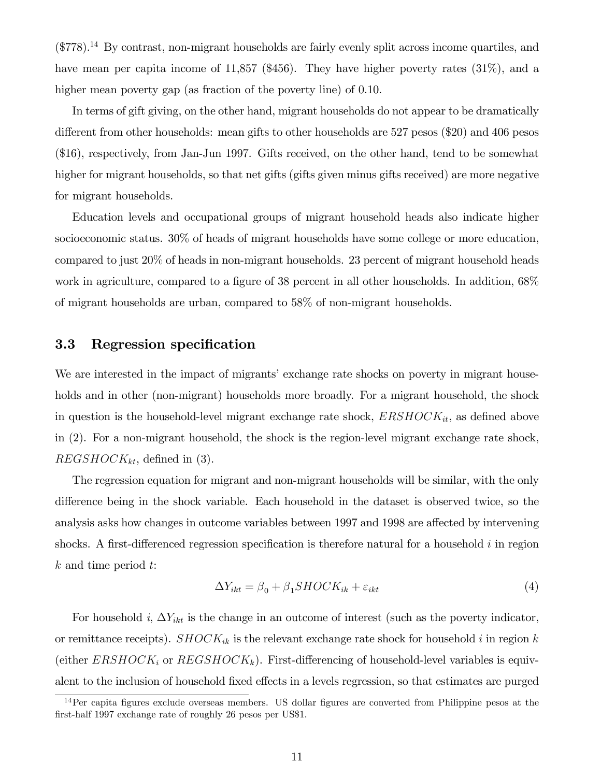$(\$778).<sup>14</sup>$  By contrast, non-migrant households are fairly evenly split across income quartiles, and have mean per capita income of 11,857 (\$456). They have higher poverty rates (31%), and a higher mean poverty gap (as fraction of the poverty line) of 0.10.

In terms of gift giving, on the other hand, migrant households do not appear to be dramatically different from other households: mean gifts to other households are  $527$  pesos (\$20) and 406 pesos (\$16), respectively, from Jan-Jun 1997. Gifts received, on the other hand, tend to be somewhat higher for migrant households, so that net gifts (gifts given minus gifts received) are more negative for migrant households.

Education levels and occupational groups of migrant household heads also indicate higher socioeconomic status. 30% of heads of migrant households have some college or more education, compared to just 20% of heads in non-migrant households. 23 percent of migrant household heads work in agriculture, compared to a figure of 38 percent in all other households. In addition,  $68\%$ of migrant households are urban, compared to 58% of non-migrant households.

## 3.3 Regression specification

We are interested in the impact of migrants' exchange rate shocks on poverty in migrant households and in other (non-migrant) households more broadly. For a migrant household, the shock in question is the household-level migrant exchange rate shock,  $ERSHOCK_{it}$ , as defined above in (2). For a non-migrant household, the shock is the region-level migrant exchange rate shock,  $REGSHOCK_{kt}$ , defined in (3).

The regression equation for migrant and non-migrant households will be similar, with the only difference being in the shock variable. Each household in the dataset is observed twice, so the analysis asks how changes in outcome variables between 1997 and 1998 are affected by intervening shocks. A first-differenced regression specification is therefore natural for a household  $i$  in region k and time period t:

$$
\Delta Y_{ikt} = \beta_0 + \beta_1 SHOCK_{ik} + \varepsilon_{ikt} \tag{4}
$$

For household i,  $\Delta Y_{ikt}$  is the change in an outcome of interest (such as the poverty indicator, or remittance receipts).  $SHOCK_{ik}$  is the relevant exchange rate shock for household i in region k (either  $ERSHOCK_i$  or  $REGSHOCK_k$ ). First-differencing of household-level variables is equivalent to the inclusion of household fixed effects in a levels regression, so that estimates are purged

 $14$ Per capita figures exclude overseas members. US dollar figures are converted from Philippine pesos at the first-half 1997 exchange rate of roughly 26 pesos per US\$1.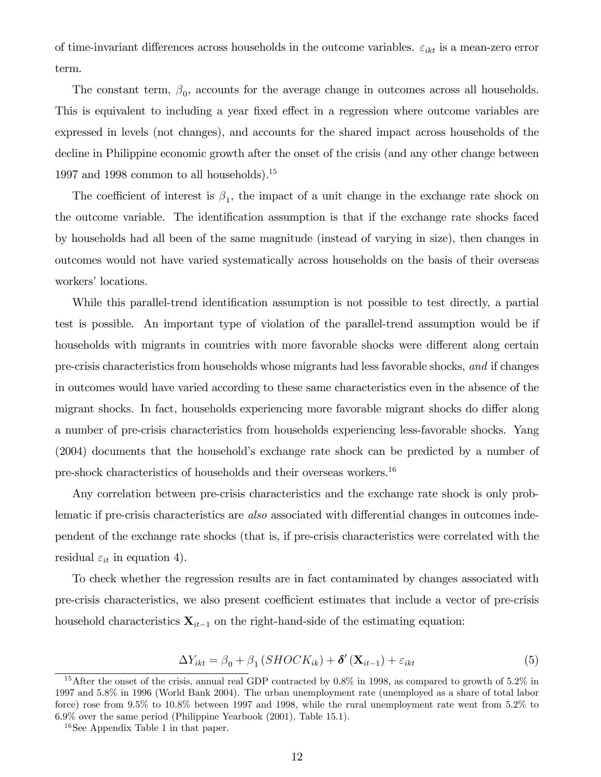of time-invariant differences across households in the outcome variables.  $\varepsilon_{ikt}$  is a mean-zero error term.

The constant term,  $\beta_0$ , accounts for the average change in outcomes across all households. This is equivalent to including a year fixed effect in a regression where outcome variables are expressed in levels (not changes), and accounts for the shared impact across households of the decline in Philippine economic growth after the onset of the crisis (and any other change between 1997 and 1998 common to all households).<sup>15</sup>

The coefficient of interest is  $\beta_1$ , the impact of a unit change in the exchange rate shock on the outcome variable. The identification assumption is that if the exchange rate shocks faced by households had all been of the same magnitude (instead of varying in size), then changes in outcomes would not have varied systematically across households on the basis of their overseas workers' locations.

While this parallel-trend identification assumption is not possible to test directly, a partial test is possible. An important type of violation of the parallel-trend assumption would be if households with migrants in countries with more favorable shocks were different along certain pre-crisis characteristics from households whose migrants had less favorable shocks, and if changes in outcomes would have varied according to these same characteristics even in the absence of the migrant shocks. In fact, households experiencing more favorable migrant shocks do differ along a number of pre-crisis characteristics from households experiencing less-favorable shocks. Yang (2004) documents that the household's exchange rate shock can be predicted by a number of pre-shock characteristics of households and their overseas workers.<sup>16</sup>

Any correlation between pre-crisis characteristics and the exchange rate shock is only problematic if pre-crisis characteristics are also associated with differential changes in outcomes independent of the exchange rate shocks (that is, if pre-crisis characteristics were correlated with the residual  $\varepsilon_{it}$  in equation 4).

To check whether the regression results are in fact contaminated by changes associated with pre-crisis characteristics, we also present coefficient estimates that include a vector of pre-crisis household characteristics  $\mathbf{X}_{it-1}$  on the right-hand-side of the estimating equation:

$$
\Delta Y_{ikt} = \beta_0 + \beta_1 (SHOCK_{ik}) + \delta'(\mathbf{X}_{it-1}) + \varepsilon_{ikt}
$$
\n(5)

<sup>15</sup>After the onset of the crisis, annual real GDP contracted by 0.8% in 1998, as compared to growth of 5.2% in 1997 and 5.8% in 1996 (World Bank 2004). The urban unemployment rate (unemployed as a share of total labor force) rose from 9.5% to 10.8% between 1997 and 1998, while the rural unemployment rate went from 5.2% to 6.9% over the same period (Philippine Yearbook (2001), Table 15.1).

<sup>16</sup>See Appendix Table 1 in that paper.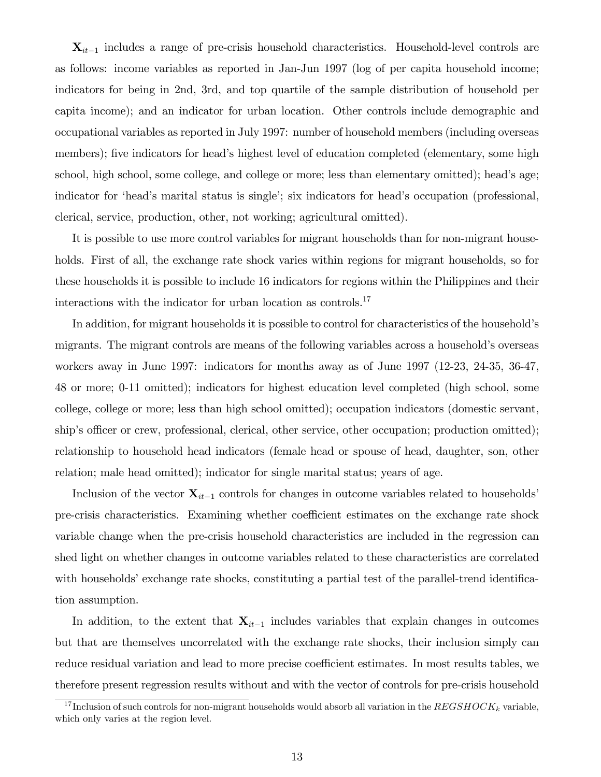$\mathbf{X}_{it-1}$  includes a range of pre-crisis household characteristics. Household-level controls are as follows: income variables as reported in Jan-Jun 1997 (log of per capita household income; indicators for being in 2nd, 3rd, and top quartile of the sample distribution of household per capita income); and an indicator for urban location. Other controls include demographic and occupational variables as reported in July 1997: number of household members (including overseas members); five indicators for head's highest level of education completed (elementary, some high school, high school, some college, and college or more; less than elementary omitted); head's age; indicator for 'head's marital status is single'; six indicators for head's occupation (professional, clerical, service, production, other, not working; agricultural omitted).

It is possible to use more control variables for migrant households than for non-migrant households. First of all, the exchange rate shock varies within regions for migrant households, so for these households it is possible to include 16 indicators for regions within the Philippines and their interactions with the indicator for urban location as controls.<sup>17</sup>

In addition, for migrant households it is possible to control for characteristics of the household's migrants. The migrant controls are means of the following variables across a household's overseas workers away in June 1997: indicators for months away as of June 1997 (12-23, 24-35, 36-47, 48 or more; 0-11 omitted); indicators for highest education level completed (high school, some college, college or more; less than high school omitted); occupation indicators (domestic servant, ship's officer or crew, professional, clerical, other service, other occupation; production omitted); relationship to household head indicators (female head or spouse of head, daughter, son, other relation; male head omitted); indicator for single marital status; years of age.

Inclusion of the vector  $\mathbf{X}_{it-1}$  controls for changes in outcome variables related to households<sup>*'*</sup> pre-crisis characteristics. Examining whether coefficient estimates on the exchange rate shock variable change when the pre-crisis household characteristics are included in the regression can shed light on whether changes in outcome variables related to these characteristics are correlated with households' exchange rate shocks, constituting a partial test of the parallel-trend identification assumption.

In addition, to the extent that  $\mathbf{X}_{it-1}$  includes variables that explain changes in outcomes but that are themselves uncorrelated with the exchange rate shocks, their inclusion simply can reduce residual variation and lead to more precise coefficient estimates. In most results tables, we therefore present regression results without and with the vector of controls for pre-crisis household

<sup>&</sup>lt;sup>17</sup> Inclusion of such controls for non-migrant households would absorb all variation in the  $REGSHOCK_k$  variable, which only varies at the region level.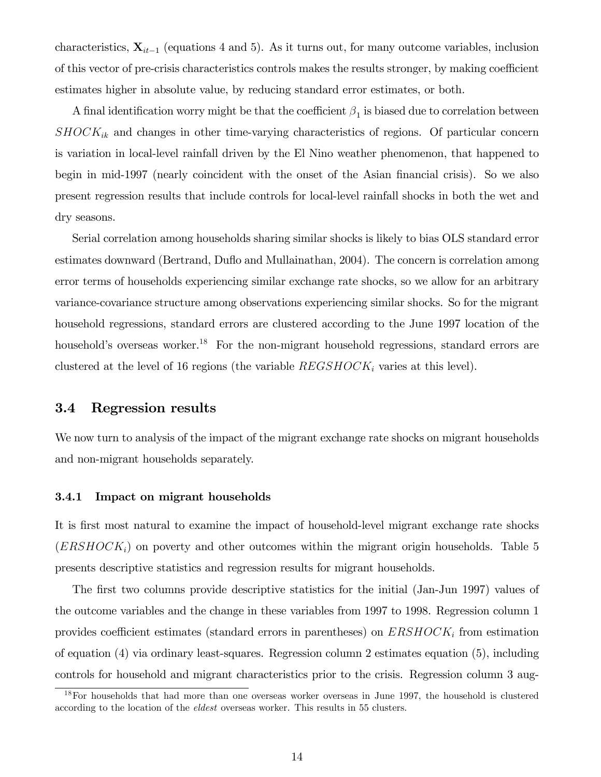characteristics,  $\mathbf{X}_{it-1}$  (equations 4 and 5). As it turns out, for many outcome variables, inclusion of this vector of pre-crisis characteristics controls makes the results stronger, by making coefficient estimates higher in absolute value, by reducing standard error estimates, or both.

A final identification worry might be that the coefficient  $\beta_1$  is biased due to correlation between  $SHOCK_{ik}$  and changes in other time-varying characteristics of regions. Of particular concern is variation in local-level rainfall driven by the El Nino weather phenomenon, that happened to begin in mid-1997 (nearly coincident with the onset of the Asian financial crisis). So we also present regression results that include controls for local-level rainfall shocks in both the wet and dry seasons.

Serial correlation among households sharing similar shocks is likely to bias OLS standard error estimates downward (Bertrand, Duflo and Mullainathan, 2004). The concern is correlation among error terms of households experiencing similar exchange rate shocks, so we allow for an arbitrary variance-covariance structure among observations experiencing similar shocks. So for the migrant household regressions, standard errors are clustered according to the June 1997 location of the household's overseas worker.<sup>18</sup> For the non-migrant household regressions, standard errors are clustered at the level of 16 regions (the variable  $REGSHOCK<sub>i</sub>$  varies at this level).

## 3.4 Regression results

We now turn to analysis of the impact of the migrant exchange rate shocks on migrant households and non-migrant households separately.

### 3.4.1 Impact on migrant households

It is first most natural to examine the impact of household-level migrant exchange rate shocks  $(ERSHOCK<sub>i</sub>)$  on poverty and other outcomes within the migrant origin households. Table 5 presents descriptive statistics and regression results for migrant households.

The first two columns provide descriptive statistics for the initial (Jan-Jun 1997) values of the outcome variables and the change in these variables from 1997 to 1998. Regression column 1 provides coefficient estimates (standard errors in parentheses) on  $ERSHOCK<sub>i</sub>$  from estimation of equation (4) via ordinary least-squares. Regression column 2 estimates equation (5), including controls for household and migrant characteristics prior to the crisis. Regression column 3 aug-

<sup>&</sup>lt;sup>18</sup>For households that had more than one overseas worker overseas in June 1997, the household is clustered according to the location of the eldest overseas worker. This results in 55 clusters.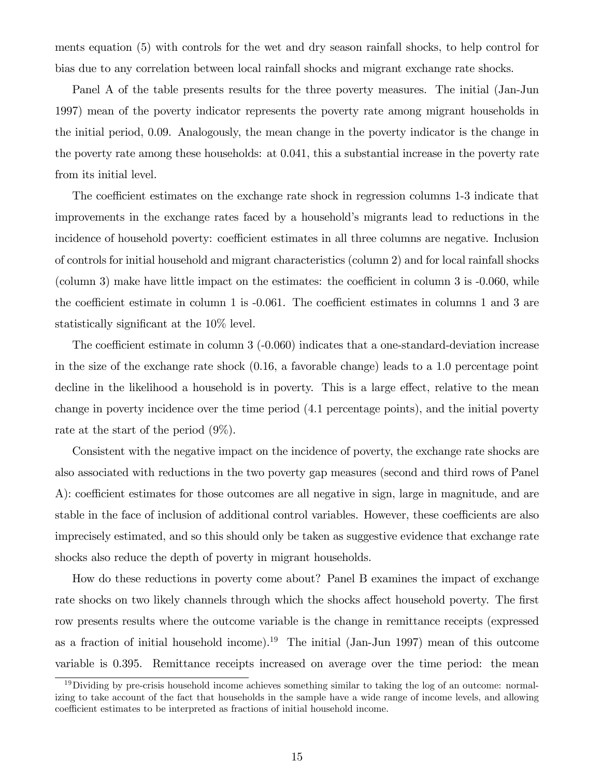ments equation (5) with controls for the wet and dry season rainfall shocks, to help control for bias due to any correlation between local rainfall shocks and migrant exchange rate shocks.

Panel A of the table presents results for the three poverty measures. The initial (Jan-Jun 1997) mean of the poverty indicator represents the poverty rate among migrant households in the initial period, 0.09. Analogously, the mean change in the poverty indicator is the change in the poverty rate among these households: at 0.041, this a substantial increase in the poverty rate from its initial level.

The coefficient estimates on the exchange rate shock in regression columns 1-3 indicate that improvements in the exchange rates faced by a household's migrants lead to reductions in the incidence of household poverty: coefficient estimates in all three columns are negative. Inclusion of controls for initial household and migrant characteristics (column 2) and for local rainfall shocks (column 3) make have little impact on the estimates: the coefficient in column  $3$  is  $-0.060$ , while the coefficient estimate in column 1 is  $-0.061$ . The coefficient estimates in columns 1 and 3 are statistically significant at the 10% level.

The coefficient estimate in column  $3$  (-0.060) indicates that a one-standard-deviation increase in the size of the exchange rate shock (0.16, a favorable change) leads to a 1.0 percentage point decline in the likelihood a household is in poverty. This is a large effect, relative to the mean change in poverty incidence over the time period (4.1 percentage points), and the initial poverty rate at the start of the period (9%).

Consistent with the negative impact on the incidence of poverty, the exchange rate shocks are also associated with reductions in the two poverty gap measures (second and third rows of Panel A): coefficient estimates for those outcomes are all negative in sign, large in magnitude, and are stable in the face of inclusion of additional control variables. However, these coefficients are also imprecisely estimated, and so this should only be taken as suggestive evidence that exchange rate shocks also reduce the depth of poverty in migrant households.

How do these reductions in poverty come about? Panel B examines the impact of exchange rate shocks on two likely channels through which the shocks affect household poverty. The first row presents results where the outcome variable is the change in remittance receipts (expressed as a fraction of initial household income).<sup>19</sup> The initial (Jan-Jun 1997) mean of this outcome variable is 0.395. Remittance receipts increased on average over the time period: the mean

<sup>&</sup>lt;sup>19</sup>Dividing by pre-crisis household income achieves something similar to taking the log of an outcome: normalizing to take account of the fact that households in the sample have a wide range of income levels, and allowing coefficient estimates to be interpreted as fractions of initial household income.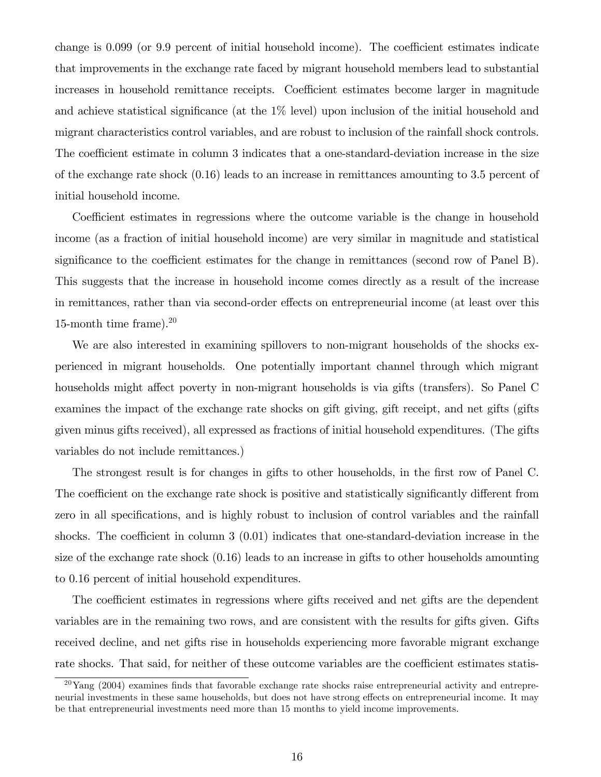change is  $0.099$  (or  $9.9$  percent of initial household income). The coefficient estimates indicate that improvements in the exchange rate faced by migrant household members lead to substantial increases in household remittance receipts. Coefficient estimates become larger in magnitude and achieve statistical significance (at the  $1\%$  level) upon inclusion of the initial household and migrant characteristics control variables, and are robust to inclusion of the rainfall shock controls. The coefficient estimate in column 3 indicates that a one-standard-deviation increase in the size of the exchange rate shock (0.16) leads to an increase in remittances amounting to 3.5 percent of initial household income.

Coefficient estimates in regressions where the outcome variable is the change in household income (as a fraction of initial household income) are very similar in magnitude and statistical significance to the coefficient estimates for the change in remittances (second row of Panel B). This suggests that the increase in household income comes directly as a result of the increase in remittances, rather than via second-order effects on entrepreneurial income (at least over this 15-month time frame). $20$ 

We are also interested in examining spillovers to non-migrant households of the shocks experienced in migrant households. One potentially important channel through which migrant households might affect poverty in non-migrant households is via gifts (transfers). So Panel C examines the impact of the exchange rate shocks on gift giving, gift receipt, and net gifts (gifts given minus gifts received), all expressed as fractions of initial household expenditures. (The gifts variables do not include remittances.)

The strongest result is for changes in gifts to other households, in the first row of Panel C. The coefficient on the exchange rate shock is positive and statistically significantly different from zero in all specifications, and is highly robust to inclusion of control variables and the rainfall shocks. The coefficient in column  $3(0.01)$  indicates that one-standard-deviation increase in the size of the exchange rate shock (0.16) leads to an increase in gifts to other households amounting to 0.16 percent of initial household expenditures.

The coefficient estimates in regressions where gifts received and net gifts are the dependent variables are in the remaining two rows, and are consistent with the results for gifts given. Gifts received decline, and net gifts rise in households experiencing more favorable migrant exchange rate shocks. That said, for neither of these outcome variables are the coefficient estimates statis-

 $20\text{Yang}$  (2004) examines finds that favorable exchange rate shocks raise entrepreneurial activity and entrepreneurial investments in these same households, but does not have strong effects on entrepreneurial income. It may be that entrepreneurial investments need more than 15 months to yield income improvements.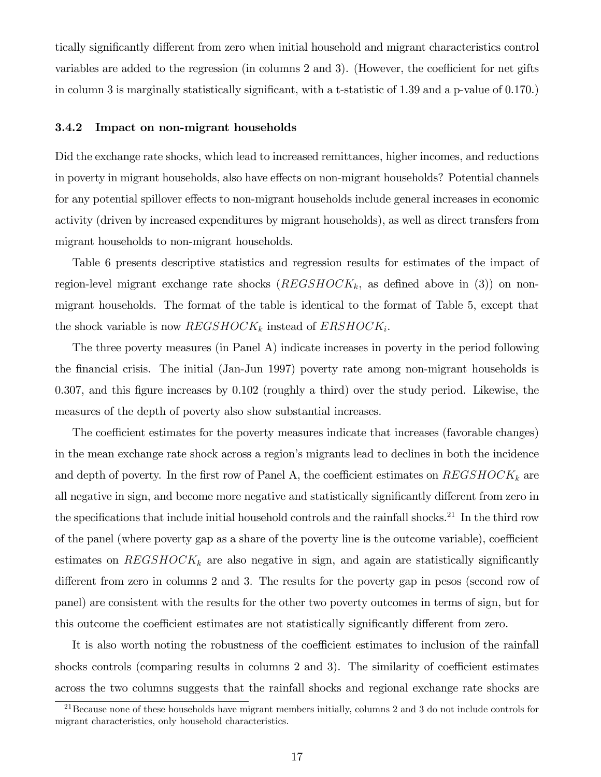tically significantly different from zero when initial household and migrant characteristics control variables are added to the regression (in columns  $2$  and  $3$ ). (However, the coefficient for net gifts in column 3 is marginally statistically significant, with a t-statistic of  $1.39$  and a p-value of  $0.170$ .)

#### 3.4.2 Impact on non-migrant households

Did the exchange rate shocks, which lead to increased remittances, higher incomes, and reductions in poverty in migrant households, also have effects on non-migrant households? Potential channels for any potential spillover effects to non-migrant households include general increases in economic activity (driven by increased expenditures by migrant households), as well as direct transfers from migrant households to non-migrant households.

Table 6 presents descriptive statistics and regression results for estimates of the impact of region-level migrant exchange rate shocks  $(REGSHOCK_k,$  as defined above in (3)) on nonmigrant households. The format of the table is identical to the format of Table 5, except that the shock variable is now  $REGSHOCK_k$  instead of  $ERSHOCK_i$ .

The three poverty measures (in Panel A) indicate increases in poverty in the period following the Önancial crisis. The initial (Jan-Jun 1997) poverty rate among non-migrant households is 0.307, and this figure increases by  $0.102$  (roughly a third) over the study period. Likewise, the measures of the depth of poverty also show substantial increases.

The coefficient estimates for the poverty measures indicate that increases (favorable changes) in the mean exchange rate shock across a region's migrants lead to declines in both the incidence and depth of poverty. In the first row of Panel A, the coefficient estimates on  $REGSHOCK_k$  are all negative in sign, and become more negative and statistically significantly different from zero in the specifications that include initial household controls and the rainfall shocks.<sup>21</sup> In the third row of the panel (where poverty gap as a share of the poverty line is the outcome variable), coefficient estimates on  $REGSHOCK_k$  are also negative in sign, and again are statistically significantly different from zero in columns 2 and 3. The results for the poverty gap in pesos (second row of panel) are consistent with the results for the other two poverty outcomes in terms of sign, but for this outcome the coefficient estimates are not statistically significantly different from zero.

It is also worth noting the robustness of the coefficient estimates to inclusion of the rainfall shocks controls (comparing results in columns  $2$  and  $3$ ). The similarity of coefficient estimates across the two columns suggests that the rainfall shocks and regional exchange rate shocks are

 $^{21}$ Because none of these households have migrant members initially, columns 2 and 3 do not include controls for migrant characteristics, only household characteristics.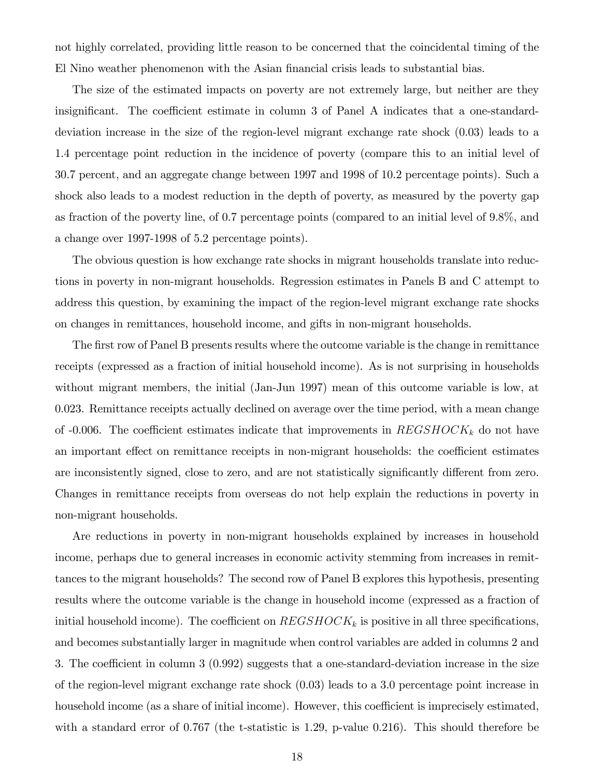not highly correlated, providing little reason to be concerned that the coincidental timing of the El Nino weather phenomenon with the Asian financial crisis leads to substantial bias.

The size of the estimated impacts on poverty are not extremely large, but neither are they insignificant. The coefficient estimate in column 3 of Panel A indicates that a one-standarddeviation increase in the size of the region-level migrant exchange rate shock (0.03) leads to a 1.4 percentage point reduction in the incidence of poverty (compare this to an initial level of 30.7 percent, and an aggregate change between 1997 and 1998 of 10.2 percentage points). Such a shock also leads to a modest reduction in the depth of poverty, as measured by the poverty gap as fraction of the poverty line, of 0.7 percentage points (compared to an initial level of 9.8%, and a change over 1997-1998 of 5.2 percentage points).

The obvious question is how exchange rate shocks in migrant households translate into reductions in poverty in non-migrant households. Regression estimates in Panels B and C attempt to address this question, by examining the impact of the region-level migrant exchange rate shocks on changes in remittances, household income, and gifts in non-migrant households.

The first row of Panel B presents results where the outcome variable is the change in remittance receipts (expressed as a fraction of initial household income). As is not surprising in households without migrant members, the initial (Jan-Jun 1997) mean of this outcome variable is low, at 0.023. Remittance receipts actually declined on average over the time period, with a mean change of -0.006. The coefficient estimates indicate that improvements in  $REGSHOCK_k$  do not have an important effect on remittance receipts in non-migrant households: the coefficient estimates are inconsistently signed, close to zero, and are not statistically significantly different from zero. Changes in remittance receipts from overseas do not help explain the reductions in poverty in non-migrant households.

Are reductions in poverty in non-migrant households explained by increases in household income, perhaps due to general increases in economic activity stemming from increases in remittances to the migrant households? The second row of Panel B explores this hypothesis, presenting results where the outcome variable is the change in household income (expressed as a fraction of initial household income). The coefficient on  $REGSHOCK_k$  is positive in all three specifications, and becomes substantially larger in magnitude when control variables are added in columns 2 and 3. The coefficient in column  $3(0.992)$  suggests that a one-standard-deviation increase in the size of the region-level migrant exchange rate shock (0.03) leads to a 3.0 percentage point increase in household income (as a share of initial income). However, this coefficient is imprecisely estimated, with a standard error of 0.767 (the t-statistic is 1.29, p-value 0.216). This should therefore be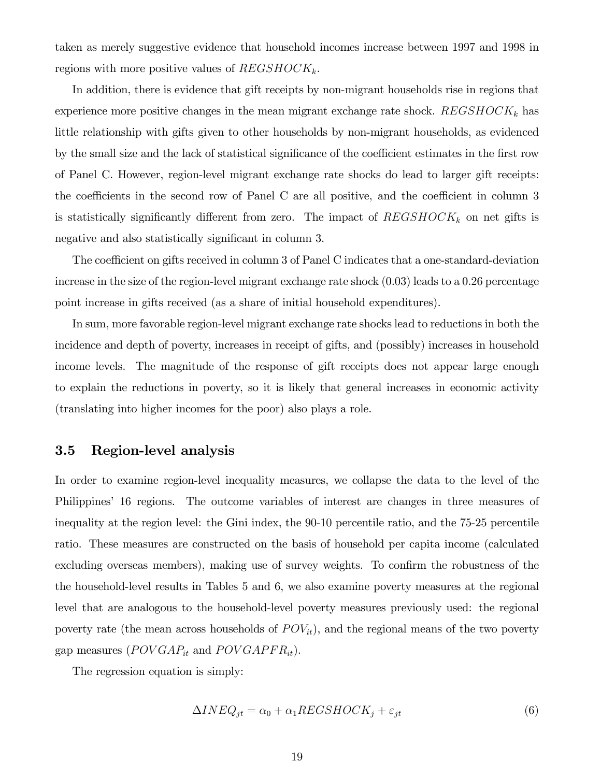taken as merely suggestive evidence that household incomes increase between 1997 and 1998 in regions with more positive values of  $REGSHOCK_k$ .

In addition, there is evidence that gift receipts by non-migrant households rise in regions that experience more positive changes in the mean migrant exchange rate shock.  $REGSHOCK_k$  has little relationship with gifts given to other households by non-migrant households, as evidenced by the small size and the lack of statistical significance of the coefficient estimates in the first row of Panel C. However, region-level migrant exchange rate shocks do lead to larger gift receipts: the coefficients in the second row of Panel C are all positive, and the coefficient in column  $3$ is statistically significantly different from zero. The impact of  $REGSHOCK_k$  on net gifts is negative and also statistically significant in column 3.

The coefficient on gifts received in column 3 of Panel C indicates that a one-standard-deviation increase in the size of the region-level migrant exchange rate shock (0.03) leads to a 0.26 percentage point increase in gifts received (as a share of initial household expenditures).

In sum, more favorable region-level migrant exchange rate shocks lead to reductions in both the incidence and depth of poverty, increases in receipt of gifts, and (possibly) increases in household income levels. The magnitude of the response of gift receipts does not appear large enough to explain the reductions in poverty, so it is likely that general increases in economic activity (translating into higher incomes for the poor) also plays a role.

## 3.5 Region-level analysis

In order to examine region-level inequality measures, we collapse the data to the level of the Philippines' 16 regions. The outcome variables of interest are changes in three measures of inequality at the region level: the Gini index, the 90-10 percentile ratio, and the 75-25 percentile ratio. These measures are constructed on the basis of household per capita income (calculated excluding overseas members), making use of survey weights. To confirm the robustness of the the household-level results in Tables 5 and 6, we also examine poverty measures at the regional level that are analogous to the household-level poverty measures previously used: the regional poverty rate (the mean across households of  $POV_{it}$ ), and the regional means of the two poverty gap measures ( $POVGAP_{it}$  and  $POVGAPFR_{it}$ ).

The regression equation is simply:

$$
\Delta INEQ_{jt} = \alpha_0 + \alpha_1 REGSHOCK_j + \varepsilon_{jt} \tag{6}
$$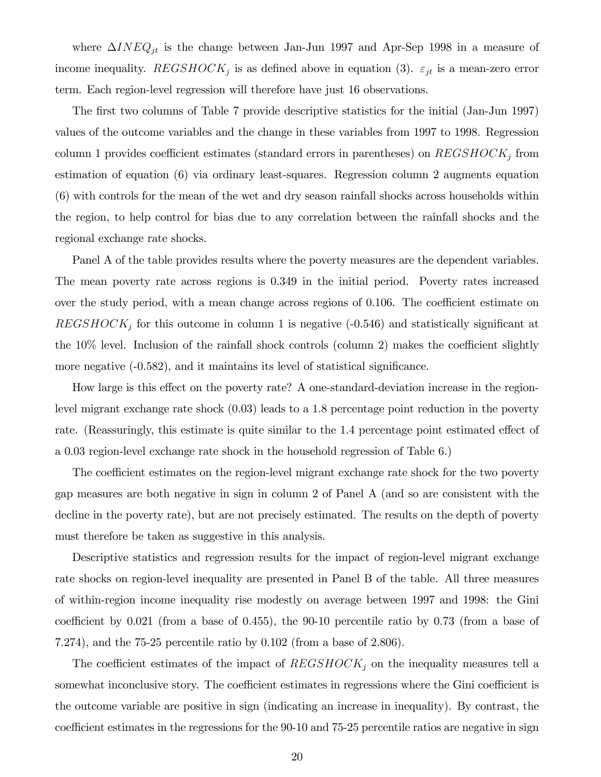where  $\Delta INEQ_{jt}$  is the change between Jan-Jun 1997 and Apr-Sep 1998 in a measure of income inequality.  $REGSHOCK<sub>j</sub>$  is as defined above in equation (3).  $\varepsilon_{jt}$  is a mean-zero error term. Each region-level regression will therefore have just 16 observations.

The first two columns of Table 7 provide descriptive statistics for the initial (Jan-Jun 1997) values of the outcome variables and the change in these variables from 1997 to 1998. Regression column 1 provides coefficient estimates (standard errors in parentheses) on  $REGSHOCK<sub>j</sub>$  from estimation of equation (6) via ordinary least-squares. Regression column 2 augments equation (6) with controls for the mean of the wet and dry season rainfall shocks across households within the region, to help control for bias due to any correlation between the rainfall shocks and the regional exchange rate shocks.

Panel A of the table provides results where the poverty measures are the dependent variables. The mean poverty rate across regions is 0.349 in the initial period. Poverty rates increased over the study period, with a mean change across regions of  $0.106$ . The coefficient estimate on  $REGSHOCK<sub>j</sub>$  for this outcome in column 1 is negative (-0.546) and statistically significant at the  $10\%$  level. Inclusion of the rainfall shock controls (column 2) makes the coefficient slightly more negative  $(-0.582)$ , and it maintains its level of statistical significance.

How large is this effect on the poverty rate? A one-standard-deviation increase in the regionlevel migrant exchange rate shock (0.03) leads to a 1.8 percentage point reduction in the poverty rate. (Reassuringly, this estimate is quite similar to the 1.4 percentage point estimated effect of a 0.03 region-level exchange rate shock in the household regression of Table 6.)

The coefficient estimates on the region-level migrant exchange rate shock for the two poverty gap measures are both negative in sign in column 2 of Panel A (and so are consistent with the decline in the poverty rate), but are not precisely estimated. The results on the depth of poverty must therefore be taken as suggestive in this analysis.

Descriptive statistics and regression results for the impact of region-level migrant exchange rate shocks on region-level inequality are presented in Panel B of the table. All three measures of within-region income inequality rise modestly on average between 1997 and 1998: the Gini coefficient by  $0.021$  (from a base of  $0.455$ ), the  $90-10$  percentile ratio by  $0.73$  (from a base of 7.274), and the 75-25 percentile ratio by 0.102 (from a base of 2.806).

The coefficient estimates of the impact of  $REGSHOCK<sub>i</sub>$  on the inequality measures tell a somewhat inconclusive story. The coefficient estimates in regressions where the Gini coefficient is the outcome variable are positive in sign (indicating an increase in inequality). By contrast, the coefficient estimates in the regressions for the 90-10 and 75-25 percentile ratios are negative in sign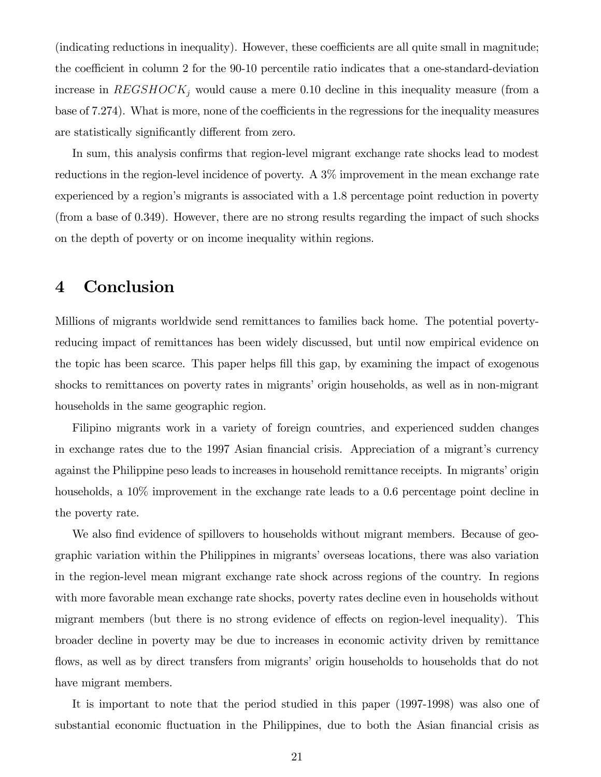(indicating reductions in inequality). However, these coefficients are all quite small in magnitude; the coefficient in column 2 for the 90-10 percentile ratio indicates that a one-standard-deviation increase in  $REGSHOCK<sub>j</sub>$  would cause a mere 0.10 decline in this inequality measure (from a base of 7.274). What is more, none of the coefficients in the regressions for the inequality measures are statistically significantly different from zero.

In sum, this analysis confirms that region-level migrant exchange rate shocks lead to modest reductions in the region-level incidence of poverty. A 3% improvement in the mean exchange rate experienced by a region's migrants is associated with a 1.8 percentage point reduction in poverty (from a base of 0.349). However, there are no strong results regarding the impact of such shocks on the depth of poverty or on income inequality within regions.

# 4 Conclusion

Millions of migrants worldwide send remittances to families back home. The potential povertyreducing impact of remittances has been widely discussed, but until now empirical evidence on the topic has been scarce. This paper helps fill this gap, by examining the impact of exogenous shocks to remittances on poverty rates in migrants' origin households, as well as in non-migrant households in the same geographic region.

Filipino migrants work in a variety of foreign countries, and experienced sudden changes in exchange rates due to the 1997 Asian financial crisis. Appreciation of a migrant's currency against the Philippine peso leads to increases in household remittance receipts. In migrants' origin households, a 10\% improvement in the exchange rate leads to a 0.6 percentage point decline in the poverty rate.

We also find evidence of spillovers to households without migrant members. Because of geographic variation within the Philippines in migrants' overseas locations, there was also variation in the region-level mean migrant exchange rate shock across regions of the country. In regions with more favorable mean exchange rate shocks, poverty rates decline even in households without migrant members (but there is no strong evidence of effects on region-level inequality). This broader decline in poverty may be due to increases in economic activity driven by remittance flows, as well as by direct transfers from migrants' origin households to households that do not have migrant members.

It is important to note that the period studied in this paper (1997-1998) was also one of substantial economic fluctuation in the Philippines, due to both the Asian financial crisis as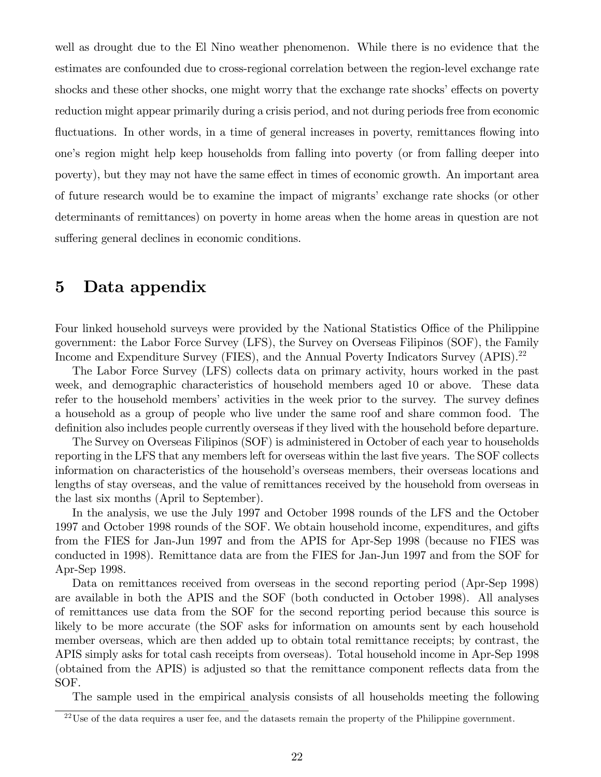well as drought due to the El Nino weather phenomenon. While there is no evidence that the estimates are confounded due to cross-regional correlation between the region-level exchange rate shocks and these other shocks, one might worry that the exchange rate shocks' effects on poverty reduction might appear primarily during a crisis period, and not during periods free from economic fluctuations. In other words, in a time of general increases in poverty, remittances flowing into oneís region might help keep households from falling into poverty (or from falling deeper into poverty), but they may not have the same effect in times of economic growth. An important area of future research would be to examine the impact of migrants' exchange rate shocks (or other determinants of remittances) on poverty in home areas when the home areas in question are not suffering general declines in economic conditions.

# 5 Data appendix

Four linked household surveys were provided by the National Statistics Office of the Philippine government: the Labor Force Survey (LFS), the Survey on Overseas Filipinos (SOF), the Family Income and Expenditure Survey (FIES), and the Annual Poverty Indicators Survey (APIS).<sup>22</sup>

The Labor Force Survey (LFS) collects data on primary activity, hours worked in the past week, and demographic characteristics of household members aged 10 or above. These data refer to the household members' activities in the week prior to the survey. The survey defines a household as a group of people who live under the same roof and share common food. The definition also includes people currently overseas if they lived with the household before departure.

The Survey on Overseas Filipinos (SOF) is administered in October of each year to households reporting in the LFS that any members left for overseas within the last five years. The SOF collects information on characteristics of the household's overseas members, their overseas locations and lengths of stay overseas, and the value of remittances received by the household from overseas in the last six months (April to September).

In the analysis, we use the July 1997 and October 1998 rounds of the LFS and the October 1997 and October 1998 rounds of the SOF. We obtain household income, expenditures, and gifts from the FIES for Jan-Jun 1997 and from the APIS for Apr-Sep 1998 (because no FIES was conducted in 1998). Remittance data are from the FIES for Jan-Jun 1997 and from the SOF for Apr-Sep 1998.

Data on remittances received from overseas in the second reporting period (Apr-Sep 1998) are available in both the APIS and the SOF (both conducted in October 1998). All analyses of remittances use data from the SOF for the second reporting period because this source is likely to be more accurate (the SOF asks for information on amounts sent by each household member overseas, which are then added up to obtain total remittance receipts; by contrast, the APIS simply asks for total cash receipts from overseas). Total household income in Apr-Sep 1998 (obtained from the APIS) is adjusted so that the remittance component reflects data from the SOF.

The sample used in the empirical analysis consists of all households meeting the following

 $22$ Use of the data requires a user fee, and the datasets remain the property of the Philippine government.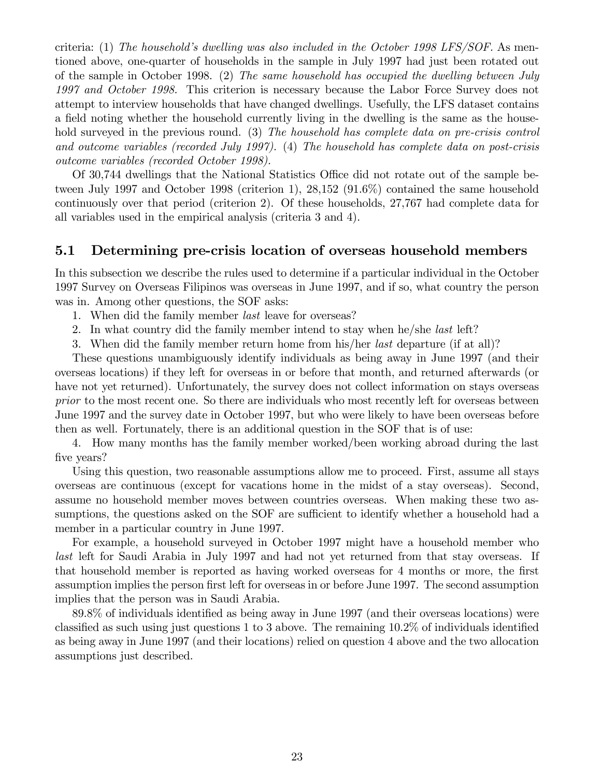criteria: (1) The household's dwelling was also included in the October 1998 LFS/SOF. As mentioned above, one-quarter of households in the sample in July 1997 had just been rotated out of the sample in October 1998. (2) The same household has occupied the dwelling between July 1997 and October 1998. This criterion is necessary because the Labor Force Survey does not attempt to interview households that have changed dwellings. Usefully, the LFS dataset contains a field noting whether the household currently living in the dwelling is the same as the household surveyed in the previous round. (3) The household has complete data on pre-crisis control and outcome variables (recorded July 1997). (4) The household has complete data on post-crisis outcome variables (recorded October 1998).

Of 30,744 dwellings that the National Statistics Office did not rotate out of the sample between July 1997 and October 1998 (criterion 1), 28,152 (91.6%) contained the same household continuously over that period (criterion 2). Of these households, 27,767 had complete data for all variables used in the empirical analysis (criteria 3 and 4).

# 5.1 Determining pre-crisis location of overseas household members

In this subsection we describe the rules used to determine if a particular individual in the October 1997 Survey on Overseas Filipinos was overseas in June 1997, and if so, what country the person was in. Among other questions, the SOF asks:

- 1. When did the family member *last* leave for overseas?
- 2. In what country did the family member intend to stay when he/she last left?
- 3. When did the family member return home from his/her *last* departure (if at all)?

These questions unambiguously identify individuals as being away in June 1997 (and their overseas locations) if they left for overseas in or before that month, and returned afterwards (or have not yet returned). Unfortunately, the survey does not collect information on stays overseas prior to the most recent one. So there are individuals who most recently left for overseas between June 1997 and the survey date in October 1997, but who were likely to have been overseas before then as well. Fortunately, there is an additional question in the SOF that is of use:

4. How many months has the family member worked/been working abroad during the last five years?

Using this question, two reasonable assumptions allow me to proceed. First, assume all stays overseas are continuous (except for vacations home in the midst of a stay overseas). Second, assume no household member moves between countries overseas. When making these two assumptions, the questions asked on the SOF are sufficient to identify whether a household had a member in a particular country in June 1997.

For example, a household surveyed in October 1997 might have a household member who last left for Saudi Arabia in July 1997 and had not yet returned from that stay overseas. If that household member is reported as having worked overseas for 4 months or more, the first assumption implies the person first left for overseas in or before June 1997. The second assumption implies that the person was in Saudi Arabia.

89.8% of individuals identified as being away in June 1997 (and their overseas locations) were classified as such using just questions 1 to 3 above. The remaining  $10.2\%$  of individuals identified as being away in June 1997 (and their locations) relied on question 4 above and the two allocation assumptions just described.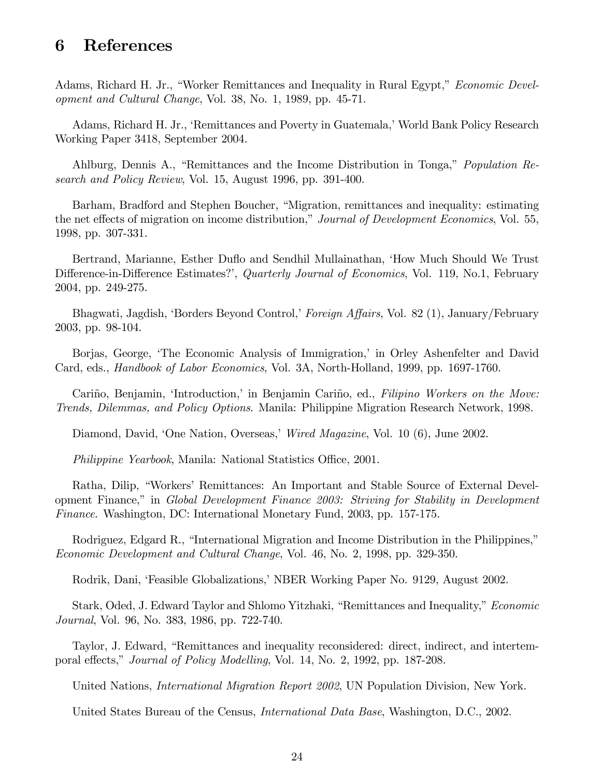# 6 References

Adams, Richard H. Jr., "Worker Remittances and Inequality in Rural Egypt," *Economic Devel*opment and Cultural Change, Vol. 38, No. 1, 1989, pp. 45-71.

Adams, Richard H. Jr., 'Remittances and Poverty in Guatemala,' World Bank Policy Research Working Paper 3418, September 2004.

Ahlburg, Dennis A., "Remittances and the Income Distribution in Tonga," Population Research and Policy Review, Vol. 15, August 1996, pp. 391-400.

Barham, Bradford and Stephen Boucher, "Migration, remittances and inequality: estimating the net effects of migration on income distribution," Journal of Development Economics, Vol. 55, 1998, pp. 307-331.

Bertrand, Marianne, Esther Duflo and Sendhil Mullainathan, 'How Much Should We Trust Difference-in-Difference Estimates?', Quarterly Journal of Economics, Vol. 119, No.1, February 2004, pp. 249-275.

Bhagwati, Jagdish, 'Borders Beyond Control,' Foreign Affairs, Vol. 82 (1), January/February 2003, pp. 98-104.

Borjas, George, 'The Economic Analysis of Immigration,' in Orley Ashenfelter and David Card, eds., Handbook of Labor Economics, Vol. 3A, North-Holland, 1999, pp. 1697-1760.

Cariño, Benjamin, 'Introduction,' in Benjamin Cariño, ed., Filipino Workers on the Move: Trends, Dilemmas, and Policy Options. Manila: Philippine Migration Research Network, 1998.

Diamond, David, 'One Nation, Overseas,' Wired Magazine, Vol. 10 (6), June 2002.

*Philippine Yearbook*, Manila: National Statistics Office, 2001.

Ratha, Dilip, "Workers' Remittances: An Important and Stable Source of External Development Finance,î in Global Development Finance 2003: Striving for Stability in Development Finance. Washington, DC: International Monetary Fund, 2003, pp. 157-175.

Rodriguez, Edgard R., "International Migration and Income Distribution in the Philippines," Economic Development and Cultural Change, Vol. 46, No. 2, 1998, pp. 329-350.

Rodrik, Dani, 'Feasible Globalizations,' NBER Working Paper No. 9129, August 2002.

Stark, Oded, J. Edward Taylor and Shlomo Yitzhaki, "Remittances and Inequality," Economic Journal, Vol. 96, No. 383, 1986, pp. 722-740.

Taylor, J. Edward, "Remittances and inequality reconsidered: direct, indirect, and intertemporal effects," Journal of Policy Modelling, Vol. 14, No. 2, 1992, pp. 187-208.

United Nations, *International Migration Report 2002*, UN Population Division, New York.

United States Bureau of the Census, *International Data Base*, Washington, D.C., 2002.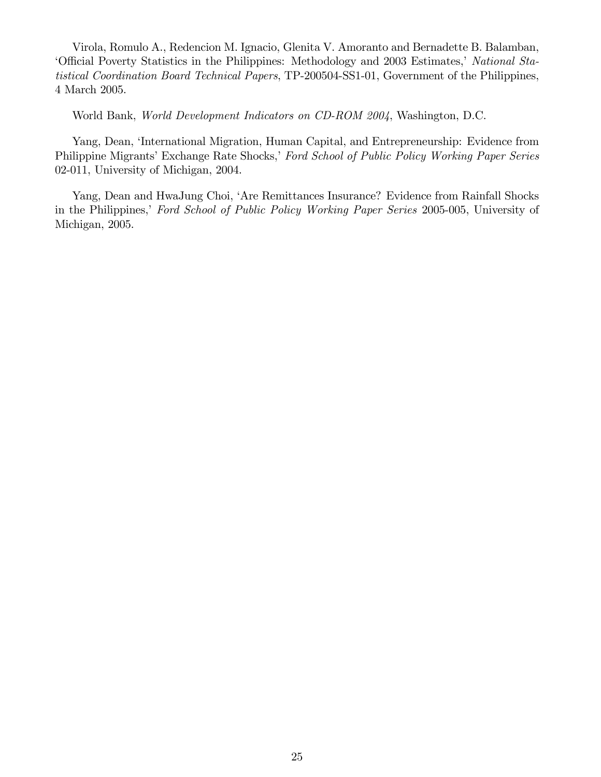Virola, Romulo A., Redencion M. Ignacio, Glenita V. Amoranto and Bernadette B. Balamban, 'Official Poverty Statistics in the Philippines: Methodology and 2003 Estimates,' National Statistical Coordination Board Technical Papers, TP-200504-SS1-01, Government of the Philippines, 4 March 2005.

World Bank, World Development Indicators on CD-ROM 2004, Washington, D.C.

Yang, Dean, 'International Migration, Human Capital, and Entrepreneurship: Evidence from Philippine Migrants' Exchange Rate Shocks,' Ford School of Public Policy Working Paper Series 02-011, University of Michigan, 2004.

Yang, Dean and HwaJung Choi, 'Are Remittances Insurance? Evidence from Rainfall Shocks in the Philippines,' Ford School of Public Policy Working Paper Series 2005-005, University of Michigan, 2005.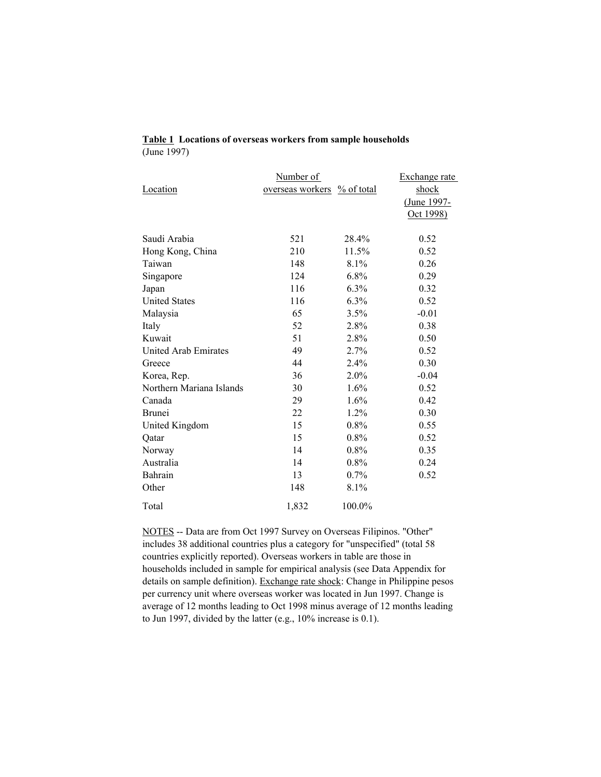|                          | Number of        |                        | Exchange rate |
|--------------------------|------------------|------------------------|---------------|
| Location                 | overseas workers | $\frac{9}{6}$ of total | shock         |
|                          |                  |                        | (June 1997-   |
|                          |                  |                        | Oct 1998)     |
|                          |                  |                        |               |
| Saudi Arabia             | 521              | 28.4%                  | 0.52          |
| Hong Kong, China         | 210              | 11.5%                  | 0.52          |
| Taiwan                   | 148              | 8.1%                   | 0.26          |
| Singapore                | 124              | $6.8\%$                | 0.29          |
| Japan                    | 116              | $6.3\%$                | 0.32          |
| <b>United States</b>     | 116              | $6.3\%$                | 0.52          |
| Malaysia                 | 65               | 3.5%                   | $-0.01$       |
| Italy                    | 52               | 2.8%                   | 0.38          |
| Kuwait                   | 51               | 2.8%                   | 0.50          |
| United Arab Emirates     | 49               | 2.7%                   | 0.52          |
| Greece                   | 44               | 2.4%                   | 0.30          |
| Korea, Rep.              | 36               | $2.0\%$                | $-0.04$       |
| Northern Mariana Islands | 30               | $1.6\%$                | 0.52          |
| Canada                   | 29               | 1.6%                   | 0.42          |
| <b>Brunei</b>            | 22               | 1.2%                   | 0.30          |
| United Kingdom           | 15               | $0.8\%$                | 0.55          |
| Qatar                    | 15               | $0.8\%$                | 0.52          |
| Norway                   | 14               | $0.8\%$                | 0.35          |
| Australia                | 14               | $0.8\%$                | 0.24          |
| Bahrain                  | 13               | $0.7\%$                | 0.52          |
| Other                    | 148              | 8.1%                   |               |
| Total                    | 1,832            | 100.0%                 |               |

## **Table 1 Locations of overseas workers from sample households** (June 1997)

NOTES -- Data are from Oct 1997 Survey on Overseas Filipinos. "Other" includes 38 additional countries plus a category for "unspecified" (total 58 countries explicitly reported). Overseas workers in table are those in households included in sample for empirical analysis (see Data Appendix for details on sample definition). Exchange rate shock: Change in Philippine pesos per currency unit where overseas worker was located in Jun 1997. Change is average of 12 months leading to Oct 1998 minus average of 12 months leading to Jun 1997, divided by the latter (e.g., 10% increase is 0.1).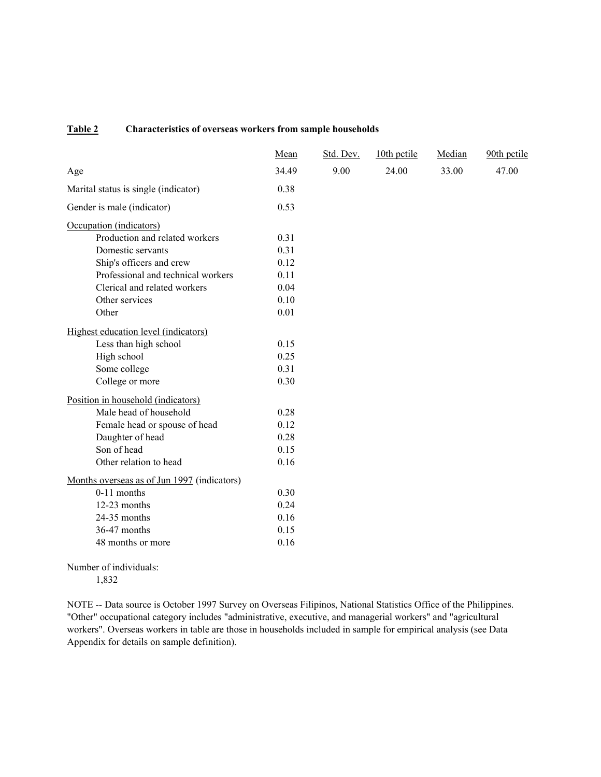### **Table 2 Characteristics of overseas workers from sample households**

|                                             | Mean  | Std. Dev. | 10th pctile | Median | 90th pctile |
|---------------------------------------------|-------|-----------|-------------|--------|-------------|
| Age                                         | 34.49 | 9.00      | 24.00       | 33.00  | 47.00       |
| Marital status is single (indicator)        | 0.38  |           |             |        |             |
| Gender is male (indicator)                  | 0.53  |           |             |        |             |
| Occupation (indicators)                     |       |           |             |        |             |
| Production and related workers              | 0.31  |           |             |        |             |
| Domestic servants                           | 0.31  |           |             |        |             |
| Ship's officers and crew                    | 0.12  |           |             |        |             |
| Professional and technical workers          | 0.11  |           |             |        |             |
| Clerical and related workers                | 0.04  |           |             |        |             |
| Other services                              | 0.10  |           |             |        |             |
| Other                                       | 0.01  |           |             |        |             |
| Highest education level (indicators)        |       |           |             |        |             |
| Less than high school                       | 0.15  |           |             |        |             |
| High school                                 | 0.25  |           |             |        |             |
| Some college                                | 0.31  |           |             |        |             |
| College or more                             | 0.30  |           |             |        |             |
| Position in household (indicators)          |       |           |             |        |             |
| Male head of household                      | 0.28  |           |             |        |             |
| Female head or spouse of head               | 0.12  |           |             |        |             |
| Daughter of head                            | 0.28  |           |             |        |             |
| Son of head                                 | 0.15  |           |             |        |             |
| Other relation to head                      | 0.16  |           |             |        |             |
| Months overseas as of Jun 1997 (indicators) |       |           |             |        |             |
| $0-11$ months                               | 0.30  |           |             |        |             |
| 12-23 months                                | 0.24  |           |             |        |             |
| 24-35 months                                | 0.16  |           |             |        |             |
| 36-47 months                                | 0.15  |           |             |        |             |
| 48 months or more                           | 0.16  |           |             |        |             |

Number of individuals: 1,832

NOTE -- Data source is October 1997 Survey on Overseas Filipinos, National Statistics Office of the Philippines. "Other" occupational category includes "administrative, executive, and managerial workers" and "agricultural workers". Overseas workers in table are those in households included in sample for empirical analysis (see Data Appendix for details on sample definition).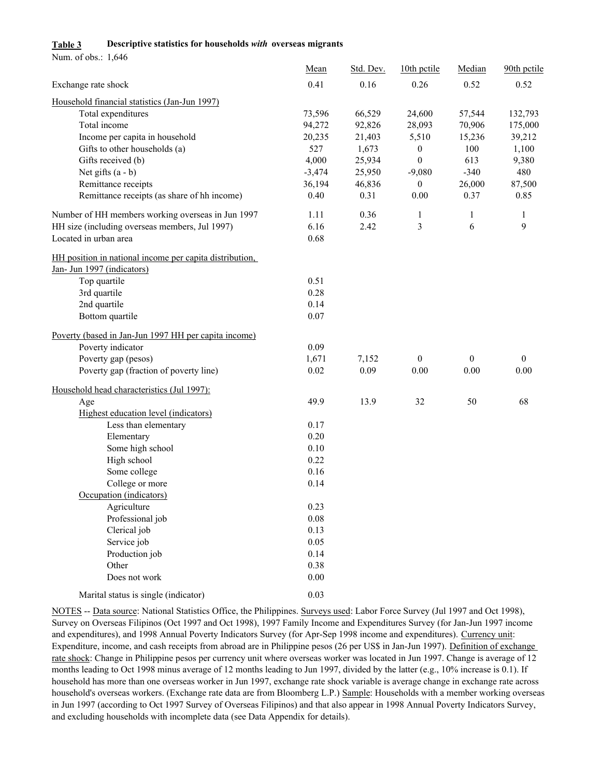#### **Table 3 Descriptive statistics for households** *with* **overseas migrants**

Num. of obs.: 1,646

|                                                         | Mean     | Std. Dev. | 10th pctile      | Median       | 90th petile  |
|---------------------------------------------------------|----------|-----------|------------------|--------------|--------------|
| Exchange rate shock                                     | 0.41     | 0.16      | 0.26             | 0.52         | 0.52         |
| Household financial statistics (Jan-Jun 1997)           |          |           |                  |              |              |
| Total expenditures                                      | 73,596   | 66,529    | 24,600           | 57,544       | 132,793      |
| Total income                                            | 94,272   | 92,826    | 28,093           | 70,906       | 175,000      |
| Income per capita in household                          | 20,235   | 21,403    | 5,510            | 15,236       | 39,212       |
| Gifts to other households (a)                           | 527      | 1,673     | $\boldsymbol{0}$ | 100          | 1,100        |
| Gifts received (b)                                      | 4,000    | 25,934    | $\mathbf{0}$     | 613          | 9,380        |
| Net gifts $(a - b)$                                     | $-3,474$ | 25,950    | $-9,080$         | $-340$       | 480          |
| Remittance receipts                                     | 36,194   | 46,836    | $\boldsymbol{0}$ | 26,000       | 87,500       |
| Remittance receipts (as share of hh income)             | 0.40     | 0.31      | 0.00             | 0.37         | 0.85         |
| Number of HH members working overseas in Jun 1997       | 1.11     | 0.36      | 1                | 1            | 1            |
| HH size (including overseas members, Jul 1997)          | 6.16     | 2.42      | 3                | 6            | 9            |
| Located in urban area                                   | 0.68     |           |                  |              |              |
| HH position in national income per capita distribution, |          |           |                  |              |              |
| Jan- Jun 1997 (indicators)                              |          |           |                  |              |              |
| Top quartile                                            | 0.51     |           |                  |              |              |
| 3rd quartile                                            | 0.28     |           |                  |              |              |
| 2nd quartile                                            | 0.14     |           |                  |              |              |
| Bottom quartile                                         | 0.07     |           |                  |              |              |
| Poverty (based in Jan-Jun 1997 HH per capita income)    |          |           |                  |              |              |
| Poverty indicator                                       | 0.09     |           |                  |              |              |
| Poverty gap (pesos)                                     | 1,671    | 7,152     | $\mathbf{0}$     | $\mathbf{0}$ | $\mathbf{0}$ |
| Poverty gap (fraction of poverty line)                  | 0.02     | 0.09      | 0.00             | 0.00         | 0.00         |
| Household head characteristics (Jul 1997):              |          |           |                  |              |              |
| Age                                                     | 49.9     | 13.9      | 32               | 50           | 68           |
| Highest education level (indicators)                    |          |           |                  |              |              |
| Less than elementary                                    | 0.17     |           |                  |              |              |
| Elementary                                              | 0.20     |           |                  |              |              |
| Some high school                                        | 0.10     |           |                  |              |              |
| High school                                             | 0.22     |           |                  |              |              |
| Some college                                            | 0.16     |           |                  |              |              |
| College or more                                         | 0.14     |           |                  |              |              |
| Occupation (indicators)                                 |          |           |                  |              |              |
| Agriculture                                             | 0.23     |           |                  |              |              |
| Professional job                                        | 0.08     |           |                  |              |              |
| Clerical job                                            | 0.13     |           |                  |              |              |
| Service job                                             | 0.05     |           |                  |              |              |
| Production job                                          | 0.14     |           |                  |              |              |
| Other                                                   | 0.38     |           |                  |              |              |
| Does not work                                           | $0.00\,$ |           |                  |              |              |
| Marital status is single (indicator)                    | 0.03     |           |                  |              |              |

NOTES -- Data source: National Statistics Office, the Philippines. Surveys used: Labor Force Survey (Jul 1997 and Oct 1998), Survey on Overseas Filipinos (Oct 1997 and Oct 1998), 1997 Family Income and Expenditures Survey (for Jan-Jun 1997 income and expenditures), and 1998 Annual Poverty Indicators Survey (for Apr-Sep 1998 income and expenditures). Currency unit: Expenditure, income, and cash receipts from abroad are in Philippine pesos (26 per US\$ in Jan-Jun 1997). Definition of exchange rate shock: Change in Philippine pesos per currency unit where overseas worker was located in Jun 1997. Change is average of 12 months leading to Oct 1998 minus average of 12 months leading to Jun 1997, divided by the latter (e.g., 10% increase is 0.1). If household has more than one overseas worker in Jun 1997, exchange rate shock variable is average change in exchange rate across household's overseas workers. (Exchange rate data are from Bloomberg L.P.) Sample: Households with a member working overseas in Jun 1997 (according to Oct 1997 Survey of Overseas Filipinos) and that also appear in 1998 Annual Poverty Indicators Survey, and excluding households with incomplete data (see Data Appendix for details).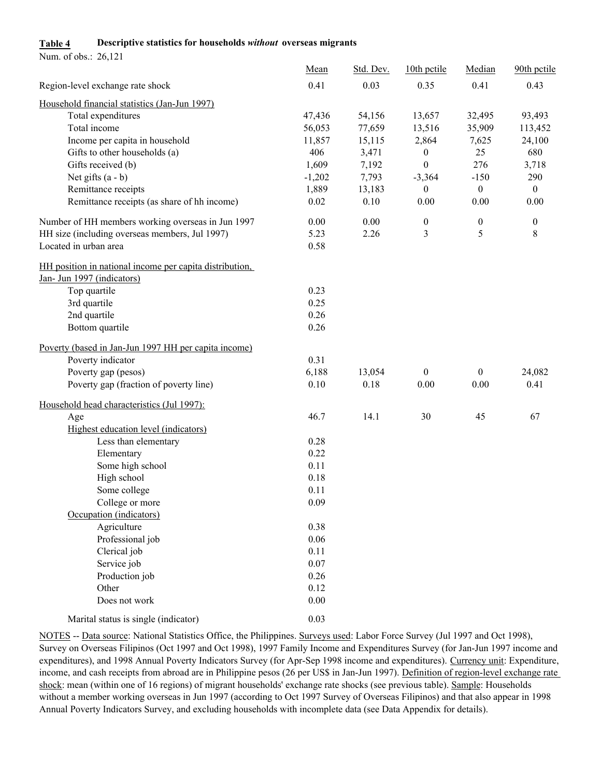## **Table 4 Descriptive statistics for households** *without* **overseas migrants**

Num. of obs.: 26,121

|                                                         | Mean     | Std. Dev. | 10th pctile      | Median           | 90th pctile      |
|---------------------------------------------------------|----------|-----------|------------------|------------------|------------------|
| Region-level exchange rate shock                        | 0.41     | 0.03      | 0.35             | 0.41             | 0.43             |
| Household financial statistics (Jan-Jun 1997)           |          |           |                  |                  |                  |
| Total expenditures                                      | 47,436   | 54,156    | 13,657           | 32,495           | 93,493           |
| Total income                                            | 56,053   | 77,659    | 13,516           | 35,909           | 113,452          |
| Income per capita in household                          | 11,857   | 15,115    | 2,864            | 7,625            | 24,100           |
| Gifts to other households (a)                           | 406      | 3,471     | $\boldsymbol{0}$ | 25               | 680              |
| Gifts received (b)                                      | 1,609    | 7,192     | $\boldsymbol{0}$ | 276              | 3,718            |
| Net gifts $(a - b)$                                     | $-1,202$ | 7,793     | $-3,364$         | $-150$           | 290              |
| Remittance receipts                                     | 1,889    | 13,183    | $\boldsymbol{0}$ | $\boldsymbol{0}$ | $\overline{0}$   |
| Remittance receipts (as share of hh income)             | 0.02     | 0.10      | 0.00             | 0.00             | 0.00             |
| Number of HH members working overseas in Jun 1997       | 0.00     | 0.00      | $\boldsymbol{0}$ | $\boldsymbol{0}$ | $\boldsymbol{0}$ |
| HH size (including overseas members, Jul 1997)          | 5.23     | 2.26      | 3                | 5                | 8                |
| Located in urban area                                   | 0.58     |           |                  |                  |                  |
| HH position in national income per capita distribution. |          |           |                  |                  |                  |
| Jan- Jun 1997 (indicators)                              |          |           |                  |                  |                  |
| Top quartile                                            | 0.23     |           |                  |                  |                  |
| 3rd quartile                                            | 0.25     |           |                  |                  |                  |
| 2nd quartile                                            | 0.26     |           |                  |                  |                  |
| Bottom quartile                                         | 0.26     |           |                  |                  |                  |
| Poverty (based in Jan-Jun 1997 HH per capita income)    |          |           |                  |                  |                  |
| Poverty indicator                                       | 0.31     |           |                  |                  |                  |
| Poverty gap (pesos)                                     | 6,188    | 13,054    | $\boldsymbol{0}$ | $\boldsymbol{0}$ | 24,082           |
| Poverty gap (fraction of poverty line)                  | 0.10     | 0.18      | $0.00\,$         | 0.00             | 0.41             |
| Household head characteristics (Jul 1997):              |          |           |                  |                  |                  |
| Age                                                     | 46.7     | 14.1      | 30               | 45               | 67               |
| Highest education level (indicators)                    |          |           |                  |                  |                  |
| Less than elementary                                    | 0.28     |           |                  |                  |                  |
| Elementary                                              | 0.22     |           |                  |                  |                  |
| Some high school                                        | 0.11     |           |                  |                  |                  |
| High school                                             | 0.18     |           |                  |                  |                  |
| Some college                                            | 0.11     |           |                  |                  |                  |
| College or more                                         | 0.09     |           |                  |                  |                  |
| Occupation (indicators)                                 |          |           |                  |                  |                  |
| Agriculture                                             | 0.38     |           |                  |                  |                  |
| Professional job                                        | 0.06     |           |                  |                  |                  |
| Clerical job                                            | 0.11     |           |                  |                  |                  |
| Service job                                             | $0.07\,$ |           |                  |                  |                  |
| Production job                                          | 0.26     |           |                  |                  |                  |
| Other                                                   | 0.12     |           |                  |                  |                  |
| Does not work                                           | $0.00\,$ |           |                  |                  |                  |
| Marital status is single (indicator)                    | 0.03     |           |                  |                  |                  |

NOTES -- Data source: National Statistics Office, the Philippines. Surveys used: Labor Force Survey (Jul 1997 and Oct 1998), Survey on Overseas Filipinos (Oct 1997 and Oct 1998), 1997 Family Income and Expenditures Survey (for Jan-Jun 1997 income and expenditures), and 1998 Annual Poverty Indicators Survey (for Apr-Sep 1998 income and expenditures). Currency unit: Expenditure, income, and cash receipts from abroad are in Philippine pesos (26 per US\$ in Jan-Jun 1997). <u>Definition of region-level exchange rate</u> shock: mean (within one of 16 regions) of migrant households' exchange rate shocks (see previous table). Sample: Households without a member working overseas in Jun 1997 (according to Oct 1997 Survey of Overseas Filipinos) and that also appear in 1998 Annual Poverty Indicators Survey, and excluding households with incomplete data (see Data Appendix for details).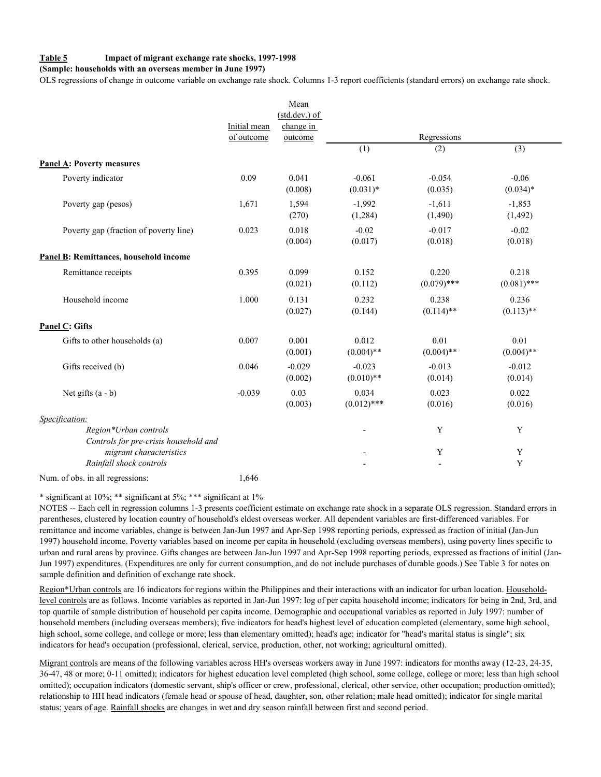#### **Table 5 Impact of migrant exchange rate shocks, 1997-1998**

#### **(Sample: households with an overseas member in June 1997)**

OLS regressions of change in outcome variable on exchange rate shock. Columns 1-3 report coefficients (standard errors) on exchange rate shock.

|                                                                                  |              | Mean<br>$(stat. dev.)$ of |                          |                        |                        |
|----------------------------------------------------------------------------------|--------------|---------------------------|--------------------------|------------------------|------------------------|
|                                                                                  | Initial mean | change in                 |                          |                        |                        |
|                                                                                  | of outcome   | outcome                   | $\overline{(1)}$         | Regressions<br>(2)     | $\overline{(3)}$       |
|                                                                                  |              |                           |                          |                        |                        |
| <b>Panel A: Poverty measures</b>                                                 |              |                           |                          |                        |                        |
| Poverty indicator                                                                | 0.09         | 0.041<br>(0.008)          | $-0.061$<br>$(0.031)^*$  | $-0.054$<br>(0.035)    | $-0.06$<br>$(0.034)*$  |
| Poverty gap (pesos)                                                              | 1,671        | 1,594<br>(270)            | $-1,992$<br>(1, 284)     | $-1,611$<br>(1,490)    | $-1,853$<br>(1, 492)   |
| Poverty gap (fraction of poverty line)                                           | 0.023        | 0.018<br>(0.004)          | $-0.02$<br>(0.017)       | $-0.017$<br>(0.018)    | $-0.02$<br>(0.018)     |
| Panel B: Remittances, household income                                           |              |                           |                          |                        |                        |
| Remittance receipts                                                              | 0.395        | 0.099<br>(0.021)          | 0.152<br>(0.112)         | 0.220<br>$(0.079)$ *** | 0.218<br>$(0.081)$ *** |
| Household income                                                                 | 1.000        | 0.131<br>(0.027)          | 0.232<br>(0.144)         | 0.238<br>$(0.114)$ **  | 0.236<br>$(0.113)$ **  |
| <b>Panel C: Gifts</b>                                                            |              |                           |                          |                        |                        |
| Gifts to other households (a)                                                    | 0.007        | 0.001<br>(0.001)          | 0.012<br>$(0.004)$ **    | 0.01<br>$(0.004)$ **   | 0.01<br>$(0.004)$ **   |
| Gifts received (b)                                                               | 0.046        | $-0.029$<br>(0.002)       | $-0.023$<br>$(0.010)$ ** | $-0.013$<br>(0.014)    | $-0.012$<br>(0.014)    |
| Net gifts $(a - b)$                                                              | $-0.039$     | 0.03<br>(0.003)           | 0.034<br>$(0.012)$ ***   | 0.023<br>(0.016)       | 0.022<br>(0.016)       |
| Specification:<br>Region*Urban controls<br>Controls for pre-crisis household and |              |                           | $\overline{a}$           | Y                      | Y                      |
| migrant characteristics<br>Rainfall shock controls                               |              |                           |                          | Y                      | Y<br>Y                 |
| Num. of obs. in all regressions:                                                 | 1,646        |                           |                          |                        |                        |

\* significant at 10%; \*\* significant at 5%; \*\*\* significant at 1%

NOTES -- Each cell in regression columns 1-3 presents coefficient estimate on exchange rate shock in a separate OLS regression. Standard errors in parentheses, clustered by location country of household's eldest overseas worker. All dependent variables are first-differenced variables. For remittance and income variables, change is between Jan-Jun 1997 and Apr-Sep 1998 reporting periods, expressed as fraction of initial (Jan-Jun 1997) household income. Poverty variables based on income per capita in household (excluding overseas members), using poverty lines specific to urban and rural areas by province. Gifts changes are between Jan-Jun 1997 and Apr-Sep 1998 reporting periods, expressed as fractions of initial (Jan-Jun 1997) expenditures. (Expenditures are only for current consumption, and do not include purchases of durable goods.) See Table 3 for notes on sample definition and definition of exchange rate shock.

Region\*Urban controls are 16 indicators for regions within the Philippines and their interactions with an indicator for urban location. Householdlevel controls are as follows. Income variables as reported in Jan-Jun 1997: log of per capita household income; indicators for being in 2nd, 3rd, and top quartile of sample distribution of household per capita income. Demographic and occupational variables as reported in July 1997: number of household members (including overseas members); five indicators for head's highest level of education completed (elementary, some high school, high school, some college, and college or more; less than elementary omitted); head's age; indicator for "head's marital status is single"; six indicators for head's occupation (professional, clerical, service, production, other, not working; agricultural omitted).

Migrant controls are means of the following variables across HH's overseas workers away in June 1997: indicators for months away (12-23, 24-35, 36-47, 48 or more; 0-11 omitted); indicators for highest education level completed (high school, some college, college or more; less than high school omitted); occupation indicators (domestic servant, ship's officer or crew, professional, clerical, other service, other occupation; production omitted); relationship to HH head indicators (female head or spouse of head, daughter, son, other relation; male head omitted); indicator for single marital status; years of age. Rainfall shocks are changes in wet and dry season rainfall between first and second period.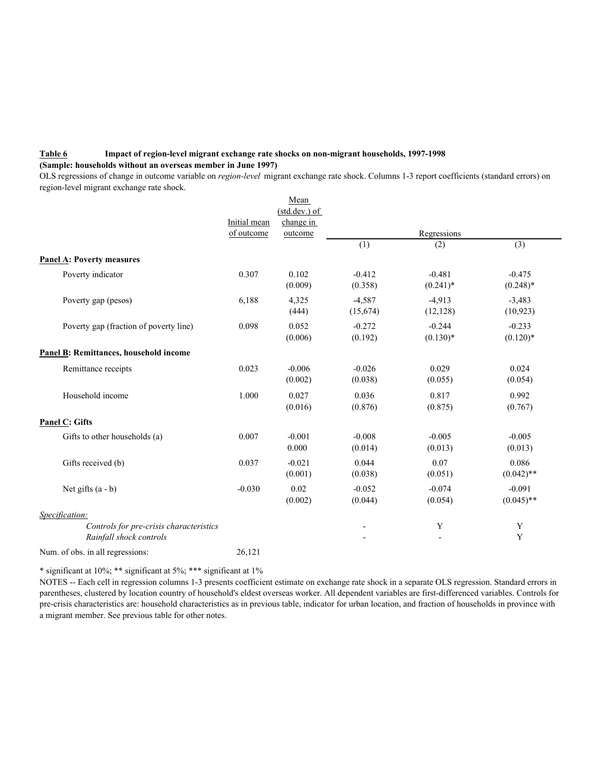### **Table 6 Impact of region-level migrant exchange rate shocks on non-migrant households, 1997-1998 (Sample: households without an overseas member in June 1997)**

OLS regressions of change in outcome variable on *region-level* migrant exchange rate shock. Columns 1-3 report coefficients (standard errors) on region-level migrant exchange rate shock.

|                                                                    |              | Mean                |                          |                         |                          |
|--------------------------------------------------------------------|--------------|---------------------|--------------------------|-------------------------|--------------------------|
|                                                                    |              | (std.dev.) of       |                          |                         |                          |
|                                                                    | Initial mean | change in           |                          |                         |                          |
|                                                                    | of outcome   | outcome             |                          | Regressions             |                          |
|                                                                    |              |                     | (1)                      | (2)                     | (3)                      |
| <b>Panel A: Poverty measures</b>                                   |              |                     |                          |                         |                          |
| Poverty indicator                                                  | 0.307        | 0.102<br>(0.009)    | $-0.412$<br>(0.358)      | $-0.481$<br>$(0.241)^*$ | $-0.475$<br>$(0.248)*$   |
| Poverty gap (pesos)                                                | 6,188        | 4,325<br>(444)      | $-4,587$<br>(15,674)     | $-4,913$<br>(12, 128)   | $-3,483$<br>(10, 923)    |
| Poverty gap (fraction of poverty line)                             | 0.098        | 0.052<br>(0.006)    | $-0.272$<br>(0.192)      | $-0.244$<br>$(0.130)*$  | $-0.233$<br>$(0.120)*$   |
| Panel B: Remittances, household income                             |              |                     |                          |                         |                          |
| Remittance receipts                                                | 0.023        | $-0.006$<br>(0.002) | $-0.026$<br>(0.038)      | 0.029<br>(0.055)        | 0.024<br>(0.054)         |
| Household income                                                   | 1.000        | 0.027<br>(0.016)    | 0.036<br>(0.876)         | 0.817<br>(0.875)        | 0.992<br>(0.767)         |
| <b>Panel C: Gifts</b>                                              |              |                     |                          |                         |                          |
| Gifts to other households (a)                                      | 0.007        | $-0.001$<br>0.000   | $-0.008$<br>(0.014)      | $-0.005$<br>(0.013)     | $-0.005$<br>(0.013)      |
| Gifts received (b)                                                 | 0.037        | $-0.021$<br>(0.001) | 0.044<br>(0.038)         | 0.07<br>(0.051)         | 0.086<br>$(0.042)$ **    |
| Net gifts $(a - b)$                                                | $-0.030$     | 0.02<br>(0.002)     | $-0.052$<br>(0.044)      | $-0.074$<br>(0.054)     | $-0.091$<br>$(0.045)$ ** |
| Specification:                                                     |              |                     |                          |                         |                          |
| Controls for pre-crisis characteristics<br>Rainfall shock controls |              |                     | $\overline{\phantom{a}}$ | Y                       | Y<br>Y                   |
| Num. of obs. in all regressions:                                   | 26.121       |                     |                          |                         |                          |

\* significant at 10%; \*\* significant at 5%; \*\*\* significant at 1%

NOTES -- Each cell in regression columns 1-3 presents coefficient estimate on exchange rate shock in a separate OLS regression. Standard errors in parentheses, clustered by location country of household's eldest overseas worker. All dependent variables are first-differenced variables. Controls for pre-crisis characteristics are: household characteristics as in previous table, indicator for urban location, and fraction of households in province with a migrant member. See previous table for other notes.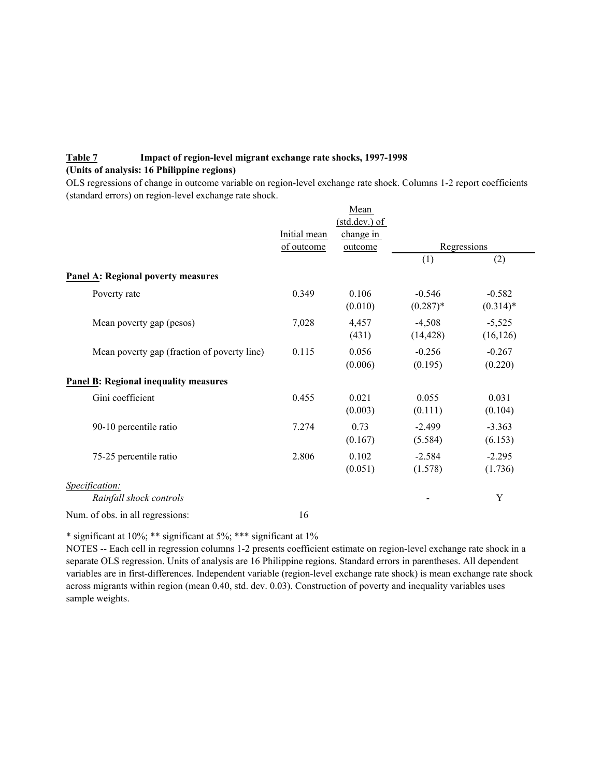## **Table 7 Impact of region-level migrant exchange rate shocks, 1997-1998 (Units of analysis: 16 Philippine regions)**

OLS regressions of change in outcome variable on region-level exchange rate shock. Columns 1-2 report coefficients (standard errors) on region-level exchange rate shock.

|                                              |              | Mean                           |                        |                        |  |
|----------------------------------------------|--------------|--------------------------------|------------------------|------------------------|--|
|                                              | Initial mean | $(stat. dev.)$ of<br>change in |                        |                        |  |
|                                              | of outcome   | outcome                        | Regressions            |                        |  |
|                                              |              |                                | (1)                    | (2)                    |  |
| <b>Panel A: Regional poverty measures</b>    |              |                                |                        |                        |  |
| Poverty rate                                 | 0.349        | 0.106<br>(0.010)               | $-0.546$<br>$(0.287)*$ | $-0.582$<br>$(0.314)*$ |  |
| Mean poverty gap (pesos)                     | 7,028        | 4,457<br>(431)                 | $-4,508$<br>(14, 428)  | $-5,525$<br>(16, 126)  |  |
| Mean poverty gap (fraction of poverty line)  | 0.115        | 0.056<br>(0.006)               | $-0.256$<br>(0.195)    | $-0.267$<br>(0.220)    |  |
| <b>Panel B: Regional inequality measures</b> |              |                                |                        |                        |  |
| Gini coefficient                             | 0.455        | 0.021<br>(0.003)               | 0.055<br>(0.111)       | 0.031<br>(0.104)       |  |
| 90-10 percentile ratio                       | 7.274        | 0.73<br>(0.167)                | $-2.499$<br>(5.584)    | $-3.363$<br>(6.153)    |  |
| 75-25 percentile ratio                       | 2.806        | 0.102<br>(0.051)               | $-2.584$<br>(1.578)    | $-2.295$<br>(1.736)    |  |
| Specification:<br>Rainfall shock controls    |              |                                |                        | Y                      |  |
| Num. of obs. in all regressions:             | 16           |                                |                        |                        |  |

\* significant at 10%; \*\* significant at 5%; \*\*\* significant at 1%

NOTES -- Each cell in regression columns 1-2 presents coefficient estimate on region-level exchange rate shock in a separate OLS regression. Units of analysis are 16 Philippine regions. Standard errors in parentheses. All dependent variables are in first-differences. Independent variable (region-level exchange rate shock) is mean exchange rate shock across migrants within region (mean 0.40, std. dev. 0.03). Construction of poverty and inequality variables uses sample weights.